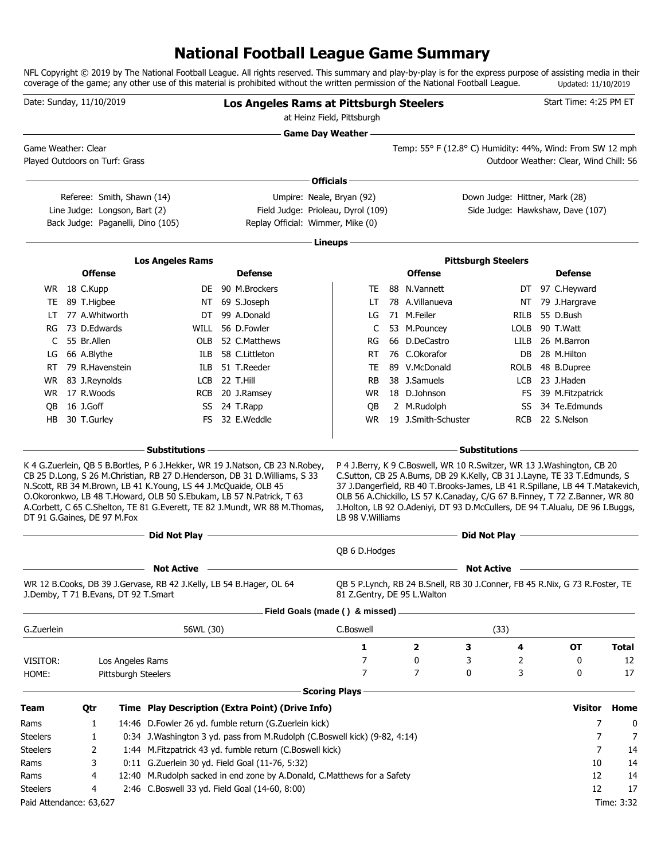# **National Football League Game Summary**

NFL Copyright © 2019 by The National Football League. All rights reserved. This summary and play-by-play is for the express purpose of assisting media in their coverage of the game; any other use of this material is prohibited without the written permission of the National Football League. Updated: 11/10/2019

| Date: Sunday, 11/10/2019                              |              |                               |  |                                                                                                                                        |  | <b>Los Angeles Rams at Pittsburgh Steelers</b>                                                                                                                                                                                          | at Heinz Field, Pittsburgh             |                                                                                                                                                                                                                                                                                                                                                                                                   |                                |            | Start Time: 4:25 PM ET                 |              |
|-------------------------------------------------------|--------------|-------------------------------|--|----------------------------------------------------------------------------------------------------------------------------------------|--|-----------------------------------------------------------------------------------------------------------------------------------------------------------------------------------------------------------------------------------------|----------------------------------------|---------------------------------------------------------------------------------------------------------------------------------------------------------------------------------------------------------------------------------------------------------------------------------------------------------------------------------------------------------------------------------------------------|--------------------------------|------------|----------------------------------------|--------------|
|                                                       |              |                               |  |                                                                                                                                        |  | <b>Game Day Weather -</b>                                                                                                                                                                                                               |                                        |                                                                                                                                                                                                                                                                                                                                                                                                   |                                |            |                                        |              |
| Game Weather: Clear<br>Played Outdoors on Turf: Grass |              |                               |  |                                                                                                                                        |  |                                                                                                                                                                                                                                         |                                        | Temp: 55° F (12.8° C) Humidity: 44%, Wind: From SW 12 mph                                                                                                                                                                                                                                                                                                                                         |                                |            | Outdoor Weather: Clear, Wind Chill: 56 |              |
|                                                       |              |                               |  |                                                                                                                                        |  |                                                                                                                                                                                                                                         | Officials -                            |                                                                                                                                                                                                                                                                                                                                                                                                   |                                |            |                                        |              |
|                                                       |              | Referee: Smith, Shawn (14)    |  |                                                                                                                                        |  | Umpire: Neale, Bryan (92)                                                                                                                                                                                                               |                                        |                                                                                                                                                                                                                                                                                                                                                                                                   | Down Judge: Hittner, Mark (28) |            |                                        |              |
|                                                       |              | Line Judge: Longson, Bart (2) |  |                                                                                                                                        |  | Field Judge: Prioleau, Dyrol (109)                                                                                                                                                                                                      |                                        |                                                                                                                                                                                                                                                                                                                                                                                                   |                                |            | Side Judge: Hawkshaw, Dave (107)       |              |
|                                                       |              |                               |  | Back Judge: Paganelli, Dino (105)                                                                                                      |  | Replay Official: Wimmer, Mike (0)                                                                                                                                                                                                       |                                        |                                                                                                                                                                                                                                                                                                                                                                                                   |                                |            |                                        |              |
|                                                       |              |                               |  |                                                                                                                                        |  |                                                                                                                                                                                                                                         | Lineups -                              |                                                                                                                                                                                                                                                                                                                                                                                                   |                                |            |                                        |              |
|                                                       |              | <b>Offense</b>                |  | <b>Los Angeles Rams</b>                                                                                                                |  | <b>Defense</b>                                                                                                                                                                                                                          |                                        | <b>Offense</b>                                                                                                                                                                                                                                                                                                                                                                                    | <b>Pittsburgh Steelers</b>     |            | <b>Defense</b>                         |              |
|                                                       |              |                               |  |                                                                                                                                        |  |                                                                                                                                                                                                                                         |                                        |                                                                                                                                                                                                                                                                                                                                                                                                   |                                |            |                                        |              |
| TE                                                    | WR 18 C.Kupp | 89 T.Higbee                   |  |                                                                                                                                        |  | DE 90 M.Brockers<br>NT 69 S.Joseph                                                                                                                                                                                                      | TE<br>LT                               | 88 N.Vannett<br>78 A.Villanueva                                                                                                                                                                                                                                                                                                                                                                   |                                | NT         | DT 97 C.Heyward<br>79 J.Hargrave       |              |
| LT                                                    |              | 77 A.Whitworth                |  | DT                                                                                                                                     |  | 99 A.Donald                                                                                                                                                                                                                             | LG                                     | 71 M.Feiler                                                                                                                                                                                                                                                                                                                                                                                       |                                | RILB       | 55 D.Bush                              |              |
| RG                                                    |              | 73 D.Edwards                  |  | WILL                                                                                                                                   |  | 56 D.Fowler                                                                                                                                                                                                                             | C                                      | 53 M.Pouncey                                                                                                                                                                                                                                                                                                                                                                                      |                                | LOLB       | 90 T.Watt                              |              |
| C                                                     |              | 55 Br.Allen                   |  | OLB                                                                                                                                    |  | 52 C.Matthews                                                                                                                                                                                                                           | RG                                     | 66 D.DeCastro                                                                                                                                                                                                                                                                                                                                                                                     |                                | LILB       | 26 M.Barron                            |              |
| LG                                                    |              | 66 A.Blythe                   |  | ILB                                                                                                                                    |  | 58 C.Littleton                                                                                                                                                                                                                          | RT                                     | 76 C.Okorafor                                                                                                                                                                                                                                                                                                                                                                                     |                                | DB.        | 28 M.Hilton                            |              |
| RT                                                    |              | 79 R.Havenstein               |  | ILB                                                                                                                                    |  | 51 T.Reeder                                                                                                                                                                                                                             | TE                                     | 89 V.McDonald                                                                                                                                                                                                                                                                                                                                                                                     |                                | ROLB       | 48 B.Dupree                            |              |
| WR                                                    |              | 83 J.Reynolds                 |  | LCB                                                                                                                                    |  | 22 T.Hill                                                                                                                                                                                                                               | RB                                     | 38 J.Samuels                                                                                                                                                                                                                                                                                                                                                                                      |                                | LCB        | 23 J.Haden                             |              |
| WR.                                                   |              | 17 R.Woods                    |  | <b>RCB</b>                                                                                                                             |  | 20 J.Ramsey                                                                                                                                                                                                                             | <b>WR</b>                              | 18 D.Johnson                                                                                                                                                                                                                                                                                                                                                                                      |                                | FS.        | 39 M.Fitzpatrick                       |              |
| OВ                                                    | 16 J.Goff    |                               |  | SS                                                                                                                                     |  | 24 T.Rapp                                                                                                                                                                                                                               | QB                                     | 2 M.Rudolph                                                                                                                                                                                                                                                                                                                                                                                       |                                | SS         | 34 Te.Edmunds                          |              |
| HB                                                    |              | 30 T.Gurley                   |  | FS.                                                                                                                                    |  | 32 E.Weddle                                                                                                                                                                                                                             | WR.                                    | 19 J.Smith-Schuster                                                                                                                                                                                                                                                                                                                                                                               |                                | <b>RCB</b> | 22 S.Nelson                            |              |
|                                                       |              |                               |  | - Substitutions                                                                                                                        |  |                                                                                                                                                                                                                                         |                                        |                                                                                                                                                                                                                                                                                                                                                                                                   | <b>Substitutions</b>           |            |                                        |              |
| DT 91 G.Gaines, DE 97 M.Fox                           |              |                               |  | N.Scott, RB 34 M.Brown, LB 41 K.Young, LS 44 J.McQuaide, OLB 45<br>O.Okoronkwo, LB 48 T.Howard, OLB 50 S.Ebukam, LB 57 N.Patrick, T 63 |  | K 4 G.Zuerlein, QB 5 B.Bortles, P 6 J.Hekker, WR 19 J.Natson, CB 23 N.Robey,<br>CB 25 D.Long, S 26 M.Christian, RB 27 D.Henderson, DB 31 D.Williams, S 33<br>A.Corbett, C 65 C.Shelton, TE 81 G.Everett, TE 82 J.Mundt, WR 88 M.Thomas, | LB 98 V. Williams                      | P 4 J.Berry, K 9 C.Boswell, WR 10 R.Switzer, WR 13 J.Washington, CB 20<br>C.Sutton, CB 25 A.Burns, DB 29 K.Kelly, CB 31 J.Layne, TE 33 T.Edmunds, S<br>37 J.Dangerfield, RB 40 T.Brooks-James, LB 41 R.Spillane, LB 44 T.Matakevich<br>OLB 56 A.Chickillo, LS 57 K.Canaday, C/G 67 B.Finney, T 72 Z.Banner, WR 80<br>J.Holton, LB 92 O.Adeniyi, DT 93 D.McCullers, DE 94 T.Alualu, DE 96 I.Buggs, |                                |            |                                        |              |
|                                                       |              |                               |  | Did Not Play                                                                                                                           |  |                                                                                                                                                                                                                                         |                                        |                                                                                                                                                                                                                                                                                                                                                                                                   | Did Not Play -                 |            |                                        |              |
|                                                       |              |                               |  |                                                                                                                                        |  |                                                                                                                                                                                                                                         | QB 6 D.Hodges                          |                                                                                                                                                                                                                                                                                                                                                                                                   |                                |            |                                        |              |
|                                                       |              |                               |  | <b>Not Active</b>                                                                                                                      |  |                                                                                                                                                                                                                                         |                                        |                                                                                                                                                                                                                                                                                                                                                                                                   | <b>Not Active</b>              |            |                                        |              |
| J.Demby, T 71 B.Evans, DT 92 T.Smart                  |              |                               |  | WR 12 B.Cooks, DB 39 J.Gervase, RB 42 J.Kelly, LB 54 B.Hager, OL 64                                                                    |  |                                                                                                                                                                                                                                         | 81 Z.Gentry, DE 95 L.Walton            | QB 5 P.Lynch, RB 24 B.Snell, RB 30 J.Conner, FB 45 R.Nix, G 73 R.Foster, TE                                                                                                                                                                                                                                                                                                                       |                                |            |                                        |              |
|                                                       |              |                               |  |                                                                                                                                        |  | Field Goals (made () & missed)                                                                                                                                                                                                          |                                        |                                                                                                                                                                                                                                                                                                                                                                                                   |                                |            |                                        |              |
| G.Zuerlein                                            |              |                               |  | 56WL (30)                                                                                                                              |  |                                                                                                                                                                                                                                         | C.Boswell                              |                                                                                                                                                                                                                                                                                                                                                                                                   | (33)                           |            |                                        |              |
|                                                       |              |                               |  |                                                                                                                                        |  |                                                                                                                                                                                                                                         | 1                                      | 2                                                                                                                                                                                                                                                                                                                                                                                                 | 3                              | 4          | <b>OT</b>                              | <b>Total</b> |
| VISITOR:                                              |              |                               |  | Los Angeles Rams                                                                                                                       |  |                                                                                                                                                                                                                                         | 7                                      | 0                                                                                                                                                                                                                                                                                                                                                                                                 | 3                              | 2          | 0                                      | 12           |
| HOME:                                                 |              |                               |  | <b>Pittsburgh Steelers</b>                                                                                                             |  |                                                                                                                                                                                                                                         | $\overline{7}$<br><b>Scoring Plays</b> | 7                                                                                                                                                                                                                                                                                                                                                                                                 | 0                              | 3          | 0                                      | 17           |
| Team                                                  |              | Qtr                           |  |                                                                                                                                        |  | Time Play Description (Extra Point) (Drive Info)                                                                                                                                                                                        |                                        |                                                                                                                                                                                                                                                                                                                                                                                                   |                                |            | Visitor                                | Home         |
| Rams                                                  |              | 1                             |  |                                                                                                                                        |  | 14:46 D.Fowler 26 yd. fumble return (G.Zuerlein kick)                                                                                                                                                                                   |                                        |                                                                                                                                                                                                                                                                                                                                                                                                   |                                |            | 7                                      | 0            |
| <b>Steelers</b>                                       |              | 1                             |  |                                                                                                                                        |  | 0:34 J. Washington 3 yd. pass from M. Rudolph (C. Boswell kick) (9-82, 4:14)                                                                                                                                                            |                                        |                                                                                                                                                                                                                                                                                                                                                                                                   |                                |            | 7                                      | 7            |
| <b>Steelers</b>                                       |              | 2                             |  |                                                                                                                                        |  | 1:44 M.Fitzpatrick 43 yd. fumble return (C.Boswell kick)                                                                                                                                                                                |                                        |                                                                                                                                                                                                                                                                                                                                                                                                   |                                |            | 7                                      | 14           |
| Rams                                                  |              | 3                             |  |                                                                                                                                        |  | 0:11 G.Zuerlein 30 yd. Field Goal (11-76, 5:32)                                                                                                                                                                                         |                                        |                                                                                                                                                                                                                                                                                                                                                                                                   |                                |            | 10                                     | 14           |
| Rams                                                  |              | 4                             |  |                                                                                                                                        |  | 12:40 M.Rudolph sacked in end zone by A.Donald, C.Matthews for a Safety                                                                                                                                                                 |                                        |                                                                                                                                                                                                                                                                                                                                                                                                   |                                |            | 12                                     | 14           |
| <b>Steelers</b>                                       |              | 4                             |  |                                                                                                                                        |  | 2:46 C.Boswell 33 yd. Field Goal (14-60, 8:00)                                                                                                                                                                                          |                                        |                                                                                                                                                                                                                                                                                                                                                                                                   |                                |            | 12                                     | 17           |
| Paid Attendance: 63,627                               |              |                               |  |                                                                                                                                        |  |                                                                                                                                                                                                                                         |                                        |                                                                                                                                                                                                                                                                                                                                                                                                   |                                |            |                                        | Time: 3:32   |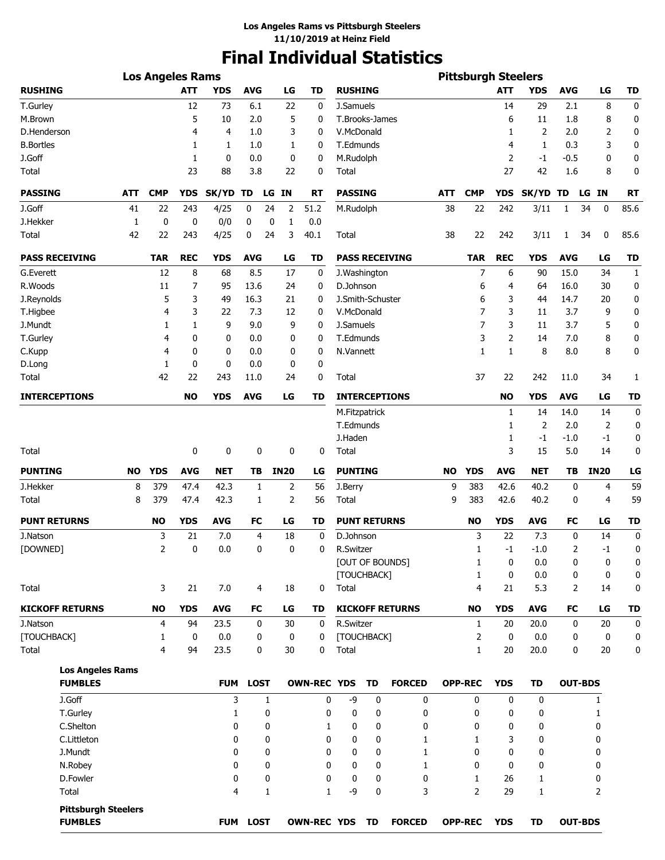# **Final Individual Statistics**

|                                              |              | <b>Los Angeles Rams</b> |            |              |              |                |                    |                     |           |                        |            | <b>Pittsburgh Steelers</b> |             |              |                |                |              |
|----------------------------------------------|--------------|-------------------------|------------|--------------|--------------|----------------|--------------------|---------------------|-----------|------------------------|------------|----------------------------|-------------|--------------|----------------|----------------|--------------|
| <b>RUSHING</b>                               |              |                         | <b>ATT</b> | <b>YDS</b>   | <b>AVG</b>   | LG             | TD                 | <b>RUSHING</b>      |           |                        |            |                            | ATT         | <b>YDS</b>   | AVG            | LG             | TD           |
| T.Gurley                                     |              |                         | 12         | 73           | 6.1          | 22             | 0                  | J.Samuels           |           |                        |            |                            | 14          | 29           | 2.1            | 8              | 0            |
| M.Brown                                      |              |                         | 5          | 10           | 2.0          | 5              | 0                  | T.Brooks-James      |           |                        |            |                            | 6           | 11           | 1.8            | 8              | 0            |
| D.Henderson                                  |              |                         | 4          | 4            | 1.0          | 3              | 0                  | V.McDonald          |           |                        |            |                            | 1           | 2            | 2.0            | 2              | 0            |
| <b>B.Bortles</b>                             |              |                         | 1          | 1            | 1.0          | 1              | 0                  | T.Edmunds           |           |                        |            |                            | 4           | $\mathbf{1}$ | 0.3            | 3              | 0            |
| J.Goff                                       |              |                         | 1          | 0            | 0.0          | 0              | 0                  | M.Rudolph           |           |                        |            |                            | 2           | $-1$         | $-0.5$         | 0              | 0            |
| Total                                        |              |                         | 23         | 88           | 3.8          | 22             | 0                  | Total               |           |                        |            |                            | 27          | 42           | 1.6            | 8              | 0            |
| <b>PASSING</b>                               | ATT          | <b>CMP</b>              | <b>YDS</b> | SK/YD TD     | LG           | <b>IN</b>      | <b>RT</b>          | <b>PASSING</b>      |           |                        | <b>ATT</b> | <b>CMP</b>                 | <b>YDS</b>  | SK/YD TD     |                | LG IN          | <b>RT</b>    |
| J.Goff                                       | 41           | 22                      | 243        | 4/25         | 0<br>24      | $\overline{2}$ | 51.2               | M.Rudolph           |           |                        | 38         | 22                         | 242         | 3/11         | $\mathbf{1}$   | $\bf{0}$<br>34 | 85.6         |
| J.Hekker                                     | $\mathbf{1}$ | $\mathbf 0$             | 0          | 0/0          | 0            | 0<br>1         | 0.0                |                     |           |                        |            |                            |             |              |                |                |              |
| Total                                        | 42           | 22                      | 243        | 4/25         | 0<br>24      | 3              | 40.1               | Total               |           |                        | 38         | 22                         | 242         | 3/11         | 1              | 0<br>34        | 85.6         |
| <b>PASS RECEIVING</b>                        |              | <b>TAR</b>              | <b>REC</b> | <b>YDS</b>   | <b>AVG</b>   | LG             | <b>TD</b>          |                     |           | <b>PASS RECEIVING</b>  |            | <b>TAR</b>                 | <b>REC</b>  | <b>YDS</b>   | <b>AVG</b>     | LG             | <b>TD</b>    |
| G.Everett                                    |              | 12                      | 8          | 68           | 8.5          | 17             | 0                  | J. Washington       |           |                        |            | 7                          | 6           | 90           | 15.0           | 34             | $\mathbf{1}$ |
| R.Woods                                      |              | 11                      | 7          | 95           | 13.6         | 24             | 0                  | D.Johnson           |           |                        |            | 6                          | 4           | 64           | 16.0           | 30             | 0            |
| J.Reynolds                                   |              | 5                       | 3          | 49           | 16.3         | 21             | 0                  | J.Smith-Schuster    |           |                        |            | 6                          | 3           | 44           | 14.7           | 20             | 0            |
| T.Higbee                                     |              | 4                       | 3          | 22           | 7.3          | 12             | 0                  | V.McDonald          |           |                        |            | 7                          | 3           | 11           | 3.7            | 9              | 0            |
| J.Mundt                                      |              | 1                       | 1          | 9            | 9.0          | 9              | 0                  | J.Samuels           |           |                        |            | $\overline{7}$             | 3           | 11           | 3.7            | 5              | 0            |
| T.Gurley                                     |              | 4                       | 0          | 0            | 0.0          | 0              | 0                  | T.Edmunds           |           |                        |            | 3                          | 2           | 14           | 7.0            | 8              | 0            |
| C.Kupp                                       |              | 4                       | 0          | 0            | 0.0          | 0              | 0                  | N.Vannett           |           |                        |            | 1                          | 1           | 8            | 8.0            | 8              | 0            |
| D.Long                                       |              | 1                       | 0          | 0            | 0.0          | 0              | 0                  |                     |           |                        |            |                            |             |              |                |                |              |
| Total                                        |              | 42                      | 22         | 243          | 11.0         | 24             | 0                  | Total               |           |                        |            | 37                         | 22          | 242          | 11.0           | 34             | 1            |
| <b>INTERCEPTIONS</b>                         |              |                         | <b>NO</b>  | <b>YDS</b>   | <b>AVG</b>   | LG             | TD                 |                     |           | <b>INTERCEPTIONS</b>   |            |                            | <b>NO</b>   | <b>YDS</b>   | <b>AVG</b>     | LG             | <b>TD</b>    |
|                                              |              |                         |            |              |              |                |                    | M.Fitzpatrick       |           |                        |            |                            | 1           | 14           | 14.0           | 14             | 0            |
|                                              |              |                         |            |              |              |                |                    | T.Edmunds           |           |                        |            |                            | 1           | 2            | 2.0            | 2              | 0            |
|                                              |              |                         |            |              |              |                |                    | J.Haden             |           |                        |            |                            | 1           | $-1$         | $-1.0$         | $-1$           | 0            |
| Total                                        |              |                         | 0          | 0            | 0            | 0              | 0                  | Total               |           |                        |            | 3                          | 15          | 5.0          | 14             | 0              |              |
| <b>PUNTING</b>                               | <b>NO</b>    | <b>YDS</b>              | <b>AVG</b> | <b>NET</b>   | ΤВ           | <b>IN20</b>    | LG                 | <b>PUNTING</b>      |           |                        | <b>NO</b>  | <b>YDS</b>                 | <b>AVG</b>  | <b>NET</b>   | TΒ             | <b>IN20</b>    | LG           |
| J.Hekker                                     | 8            | 379                     | 47.4       | 42.3         | 1            | 2              | 56                 | J.Berry             |           |                        | 9          | 383                        | 42.6        | 40.2         | 0              | 4              | 59           |
| Total                                        | 8            | 379                     | 47.4       | 42.3         | 1            | 2              | 56                 | <b>Total</b>        |           |                        | 9          | 383                        | 42.6        | 40.2         | 0              | 4              | 59           |
| <b>PUNT RETURNS</b>                          |              | <b>NO</b>               | <b>YDS</b> | <b>AVG</b>   | FC           | LG             | TD                 | <b>PUNT RETURNS</b> |           |                        |            | <b>NO</b>                  | <b>YDS</b>  | <b>AVG</b>   | FC             | LG             | TD           |
| J.Natson                                     |              | 3                       | 21         | 7.0          | 4            | 18             | 0                  | D.Johnson           |           |                        |            | 3                          | 22          | 7.3          | 0              | 14             | $\mathbf 0$  |
| [DOWNED]                                     |              | 2                       | 0          | 0.0          | 0            | 0              | 0                  | R.Switzer           |           |                        |            | $\mathbf{1}$               | -1          | $-1.0$       | 2              | $-1$           | 0            |
|                                              |              |                         |            |              |              |                |                    |                     |           | [OUT OF BOUNDS]        |            | 1                          | 0           | 0.0          | 0              | 0              | 0            |
|                                              |              |                         |            |              |              |                |                    | [TOUCHBACK]         |           |                        |            | $\mathbf{1}$               | 0           | 0.0          | 0              | 0              | 0            |
| Total                                        |              | 3                       | 21         | 7.0          | 4            | 18             | 0                  | Total               |           |                        |            | 4                          | 21          | 5.3          | 2              | 14             | 0            |
| <b>KICKOFF RETURNS</b>                       |              | <b>NO</b>               | <b>YDS</b> | <b>AVG</b>   | FC           | LG             | TD                 |                     |           | <b>KICKOFF RETURNS</b> |            | <b>NO</b>                  | <b>YDS</b>  | AVG          | FC             | LG             | <b>TD</b>    |
| J.Natson                                     |              | 4                       | 94         | 23.5         | 0            | 30             | 0                  | R.Switzer           |           |                        |            | 1                          | 20          | 20.0         | 0              | $20\,$         | 0            |
| [TOUCHBACK]                                  |              | 1                       | 0          | 0.0          | 0            | 0              | 0                  | [TOUCHBACK]         |           |                        |            | 2                          | 0           | 0.0          | 0              | 0              | 0            |
| Total                                        |              | $\overline{4}$          | 94         | 23.5         | 0            | 30             | 0                  | Total               |           |                        |            | $\mathbf{1}$               | 20          | 20.0         | 0              | $20\,$         | 0            |
| <b>Los Angeles Rams</b>                      |              |                         |            |              |              |                |                    |                     |           |                        |            |                            |             |              |                |                |              |
| <b>FUMBLES</b>                               |              |                         |            | <b>FUM</b>   | <b>LOST</b>  |                | <b>OWN-REC YDS</b> |                     | <b>TD</b> | <b>FORCED</b>          |            | <b>OPP-REC</b>             | <b>YDS</b>  | <b>TD</b>    | <b>OUT-BDS</b> |                |              |
| J.Goff                                       |              |                         |            | 3            | $\mathbf{1}$ |                | 0                  | -9                  | 0         | 0                      |            | 0                          | $\mathbf 0$ | 0            |                | $\mathbf{1}$   |              |
| T.Gurley                                     |              |                         |            | $\mathbf{1}$ | 0            |                | 0                  | 0                   | 0         | 0                      |            | 0                          | 0           | 0            |                | 1              |              |
| C.Shelton                                    |              |                         |            | 0            | 0            |                | 1                  | 0                   | 0         | 0                      |            | 0                          | 0           | 0            |                | 0              |              |
| C.Littleton                                  |              |                         |            | 0            | 0            |                | 0                  | 0                   | 0         | 1                      |            | 1                          | 3           | 0            |                | 0              |              |
| J.Mundt                                      |              |                         |            | 0            | 0            |                | 0                  | 0                   | 0         | 1                      |            | 0                          | 0           | 0            |                | 0              |              |
| N.Robey                                      |              |                         |            | 0            | 0            |                | 0                  | 0                   | 0         | 1                      |            | 0                          | 0           | 0            |                | 0              |              |
| D.Fowler                                     |              |                         |            | 0            | 0            |                | 0                  | 0                   | 0         | 0                      |            | 1                          | 26          | 1            |                | 0              |              |
| Total                                        |              |                         |            | 4            | 1            |                | $\mathbf{1}$       | -9                  | 0         | 3                      |            | $\overline{2}$             | 29          | $\mathbf{1}$ |                | $\overline{2}$ |              |
| <b>Pittsburgh Steelers</b><br><b>FUMBLES</b> |              |                         |            | <b>FUM</b>   | <b>LOST</b>  |                | <b>OWN-REC YDS</b> |                     | <b>TD</b> | <b>FORCED</b>          |            | <b>OPP-REC</b>             | <b>YDS</b>  | TD           | <b>OUT-BDS</b> |                |              |
|                                              |              |                         |            |              |              |                |                    |                     |           |                        |            |                            |             |              |                |                |              |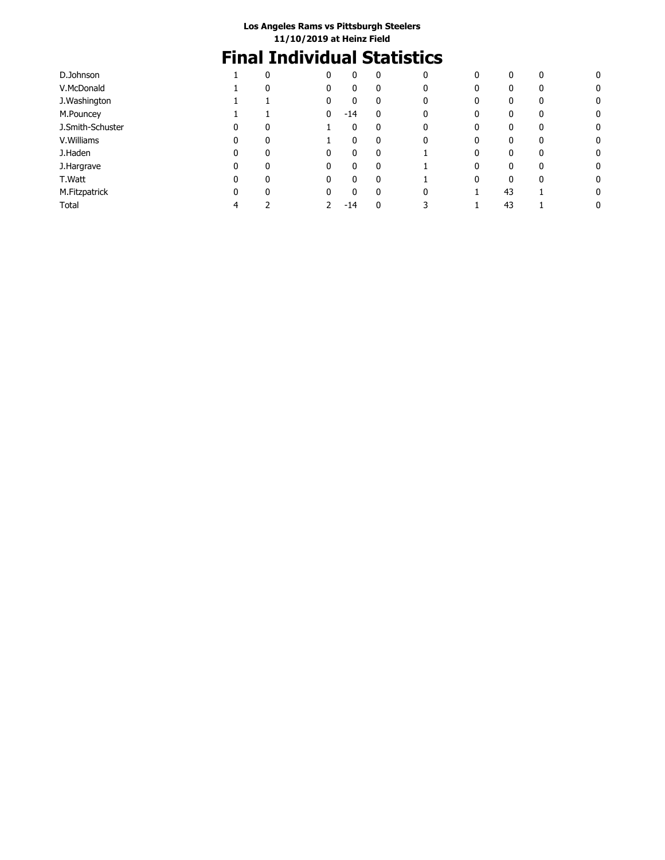# **Final Individual Statistics**

| D.Johnson        |   | $\mathbf{0}$ | 0 | 0     | 0            | 0 | 0 | 0  | 0            | 0 |
|------------------|---|--------------|---|-------|--------------|---|---|----|--------------|---|
| V.McDonald       |   | $\mathbf{0}$ |   | 0     | 0            | 0 | 0 | 0  | 0            | 0 |
| J.Washington     |   |              | 0 | 0     | 0            | 0 | 0 | 0  | $\mathbf{0}$ | 0 |
| M.Pouncey        |   |              | 0 | $-14$ | $\mathbf{0}$ | 0 | 0 | 0  | 0            | 0 |
| J.Smith-Schuster |   | 0            |   | 0     | 0            | 0 | 0 | 0  | 0            | 0 |
| V.Williams       | 0 | $\mathbf{0}$ |   | 0     | 0            | 0 | 0 | 0  | $\mathbf{0}$ | 0 |
| J.Haden          | 0 | $\Omega$     | n | 0     | $\mathbf{0}$ |   | 0 | 0  | $\Omega$     | 0 |
| J.Hargrave       | 0 |              | 0 | 0     | 0            |   | 0 | 0  | 0            | 0 |
| T.Watt           | 0 | $\Omega$     | 0 | 0     | $\mathbf{0}$ |   | 0 | 0  | $\mathbf{0}$ | 0 |
| M.Fitzpatrick    | 0 | $\Omega$     | 0 | 0     | $\mathbf{0}$ | 0 |   | 43 |              | 0 |
| Total            | 4 |              |   | $-14$ | 0            |   |   | 43 |              | 0 |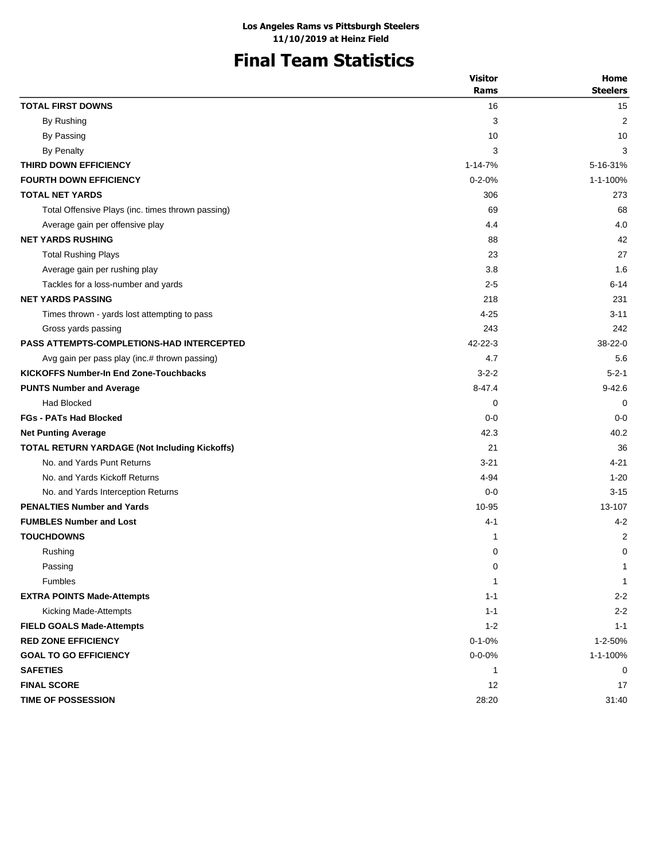# **Final Team Statistics**

|                                                   | <b>Visitor</b> | Home            |
|---------------------------------------------------|----------------|-----------------|
|                                                   | Rams           | <b>Steelers</b> |
| <b>TOTAL FIRST DOWNS</b>                          | 16             | 15              |
| By Rushing                                        | 3              | $\overline{2}$  |
| By Passing                                        | 10             | 10              |
| <b>By Penalty</b>                                 | 3              | 3               |
| THIRD DOWN EFFICIENCY                             | 1-14-7%        | 5-16-31%        |
| <b>FOURTH DOWN EFFICIENCY</b>                     | $0 - 2 - 0%$   | 1-1-100%        |
| <b>TOTAL NET YARDS</b>                            | 306            | 273             |
| Total Offensive Plays (inc. times thrown passing) | 69             | 68              |
| Average gain per offensive play                   | 4.4            | 4.0             |
| <b>NET YARDS RUSHING</b>                          | 88             | 42              |
| <b>Total Rushing Plays</b>                        | 23             | 27              |
| Average gain per rushing play                     | 3.8            | 1.6             |
| Tackles for a loss-number and yards               | $2 - 5$        | $6 - 14$        |
| <b>NET YARDS PASSING</b>                          | 218            | 231             |
| Times thrown - yards lost attempting to pass      | $4 - 25$       | $3 - 11$        |
| Gross yards passing                               | 243            | 242             |
| <b>PASS ATTEMPTS-COMPLETIONS-HAD INTERCEPTED</b>  | $42 - 22 - 3$  | $38 - 22 - 0$   |
| Avg gain per pass play (inc.# thrown passing)     | 4.7            | 5.6             |
| <b>KICKOFFS Number-In End Zone-Touchbacks</b>     | $3 - 2 - 2$    | $5 - 2 - 1$     |
| <b>PUNTS Number and Average</b>                   | $8 - 47.4$     | $9 - 42.6$      |
| Had Blocked                                       | 0              | 0               |
| <b>FGs - PATs Had Blocked</b>                     | $0 - 0$        | $0 - 0$         |
| <b>Net Punting Average</b>                        | 42.3           | 40.2            |
| TOTAL RETURN YARDAGE (Not Including Kickoffs)     | 21             | 36              |
| No. and Yards Punt Returns                        | $3 - 21$       | $4 - 21$        |
| No. and Yards Kickoff Returns                     | 4-94           | $1 - 20$        |
| No. and Yards Interception Returns                | $0 - 0$        | $3 - 15$        |
| <b>PENALTIES Number and Yards</b>                 | 10-95          | 13-107          |
| <b>FUMBLES Number and Lost</b>                    | 4-1            | $4 - 2$         |
| <b>TOUCHDOWNS</b>                                 | 1              | 2               |
| Rushing                                           | 0              | 0               |
| Passing                                           | 0              | $\mathbf{1}$    |
| Fumbles                                           | 1              | 1               |
| <b>EXTRA POINTS Made-Attempts</b>                 | $1 - 1$        | $2 - 2$         |
| Kicking Made-Attempts                             | $1 - 1$        | $2 - 2$         |
| <b>FIELD GOALS Made-Attempts</b>                  | $1 - 2$        | $1 - 1$         |
| <b>RED ZONE EFFICIENCY</b>                        | $0 - 1 - 0%$   | 1-2-50%         |
| <b>GOAL TO GO EFFICIENCY</b>                      | $0 - 0 - 0\%$  | 1-1-100%        |
| <b>SAFETIES</b>                                   | 1              | 0               |
| <b>FINAL SCORE</b>                                | 12             | 17              |
| <b>TIME OF POSSESSION</b>                         | 28:20          | 31:40           |
|                                                   |                |                 |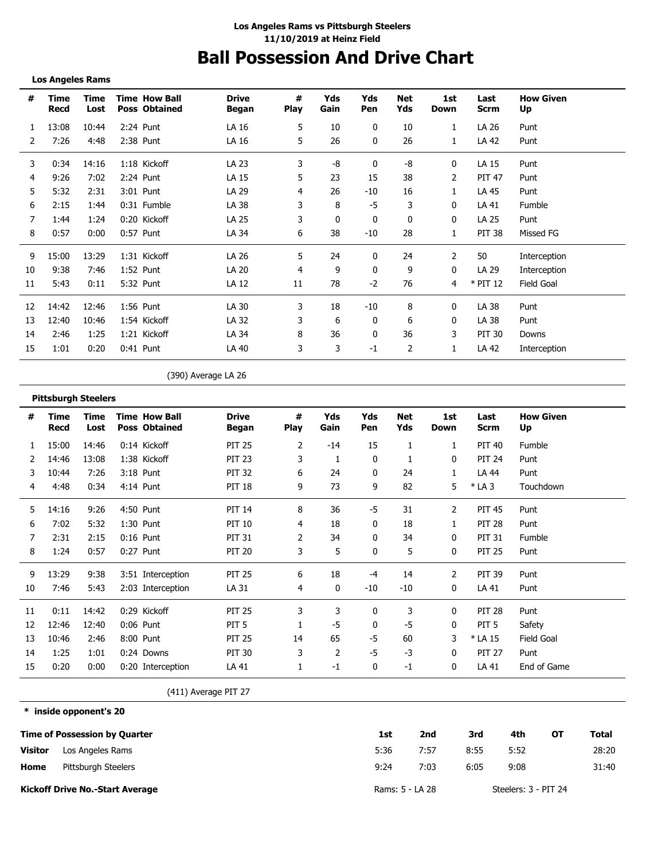## **Ball Possession And Drive Chart**

**Los Angeles Rams**

**\* inside opponent's 20**

| #  | Time<br>Recd | Time<br>Lost | <b>Time How Ball</b><br><b>Poss Obtained</b> | <b>Drive</b><br>Began | #<br><b>Play</b> | Yds<br>Gain  | Yds<br>Pen | Net<br>Yds | 1st<br>Down | Last<br><b>Scrm</b> | <b>How Given</b><br>Up |
|----|--------------|--------------|----------------------------------------------|-----------------------|------------------|--------------|------------|------------|-------------|---------------------|------------------------|
|    | 13:08        | 10:44        | 2:24 Punt                                    | LA 16                 | 5                | 10           | 0          | 10         | 1           | LA 26               | Punt                   |
| 2  | 7:26         | 4:48         | 2:38 Punt                                    | LA 16                 | 5                | 26           | 0          | 26         |             | LA 42               | Punt                   |
| 3  | 0:34         | 14:16        | 1:18 Kickoff                                 | LA 23                 | 3                | -8           | 0          | -8         | 0           | LA 15               | Punt                   |
| 4  | 9:26         | 7:02         | 2:24 Punt                                    | LA 15                 | 5                | 23           | 15         | 38         | 2           | <b>PIT 47</b>       | Punt                   |
| 5  | 5:32         | 2:31         | 3:01 Punt                                    | LA 29                 | 4                | 26           | $-10$      | 16         | 1           | LA 45               | Punt                   |
| 6  | 2:15         | 1:44         | 0:31 Fumble                                  | LA 38                 | 3                | 8            | -5         | 3          | 0           | LA 41               | Fumble                 |
|    | 1:44         | 1:24         | 0:20 Kickoff                                 | LA 25                 | 3                | $\mathbf{0}$ | 0          | 0          | 0           | LA 25               | Punt                   |
| 8  | 0:57         | 0:00         | $0:57$ Punt                                  | LA 34                 | 6                | 38           | $-10$      | 28         | 1           | <b>PIT 38</b>       | Missed FG              |
| 9  | 15:00        | 13:29        | 1:31 Kickoff                                 | LA 26                 | 5                | 24           | 0          | 24         | 2           | 50                  | Interception           |
| 10 | 9:38         | 7:46         | 1:52 Punt                                    | LA 20                 | 4                | 9            | 0          | 9          | 0           | LA 29               | Interception           |
| 11 | 5:43         | 0:11         | 5:32 Punt                                    | LA 12                 | 11               | 78           | $-2$       | 76         | 4           | $*$ PIT 12          | Field Goal             |
| 12 | 14:42        | 12:46        | 1:56 Punt                                    | LA 30                 | 3                | 18           | -10        | 8          | 0           | LA 38               | Punt                   |
| 13 | 12:40        | 10:46        | 1:54 Kickoff                                 | LA 32                 | 3                | 6            | 0          | 6          | 0           | LA 38               | Punt                   |
| 14 | 2:46         | 1:25         | 1:21 Kickoff                                 | LA 34                 | 8                | 36           | 0          | 36         | 3           | <b>PIT 30</b>       | Downs                  |
| 15 | 1:01         | 0:20         | $0:41$ Punt                                  | LA 40                 | 3                | 3            | $-1$       | 2          |             | LA 42               | Interception           |

(390) Average LA 26

|    | <b>Pittsburgh Steelers</b> |              |                                              |                       |                  |                |            |                   |              |                     |                        |
|----|----------------------------|--------------|----------------------------------------------|-----------------------|------------------|----------------|------------|-------------------|--------------|---------------------|------------------------|
| #  | Time<br>Recd               | Time<br>Lost | <b>Time How Ball</b><br><b>Poss Obtained</b> | <b>Drive</b><br>Began | #<br><b>Play</b> | Yds<br>Gain    | Yds<br>Pen | <b>Net</b><br>Yds | 1st<br>Down  | Last<br><b>Scrm</b> | <b>How Given</b><br>Up |
| 1  | 15:00                      | 14:46        | 0:14 Kickoff                                 | <b>PIT 25</b>         | 2                | $-14$          | 15         | 1                 | 1            | <b>PIT 40</b>       | Fumble                 |
|    | 14:46                      | 13:08        | 1:38 Kickoff                                 | <b>PIT 23</b>         | 3                | 1              | 0          |                   | 0            | <b>PIT 24</b>       | Punt                   |
| 3  | 10:44                      | 7:26         | 3:18 Punt                                    | <b>PIT 32</b>         | 6                | 24             | 0          | 24                |              | LA 44               | Punt                   |
| 4  | 4:48                       | 0:34         | 4:14 Punt                                    | <b>PIT 18</b>         | 9                | 73             | 9          | 82                | 5            | $*$ LA 3            | Touchdown              |
| 5  | 14:16                      | 9:26         | 4:50 Punt                                    | <b>PIT 14</b>         | 8                | 36             | -5         | 31                | 2            | <b>PIT 45</b>       | Punt                   |
| 6  | 7:02                       | 5:32         | 1:30 Punt                                    | <b>PIT 10</b>         | 4                | 18             | 0          | 18                | 1            | <b>PIT 28</b>       | Punt                   |
| 7  | 2:31                       | 2:15         | $0:16$ Punt                                  | <b>PIT 31</b>         | 2                | 34             | 0          | 34                | 0            | <b>PIT 31</b>       | Fumble                 |
| 8  | 1:24                       | 0:57         | 0:27 Punt                                    | <b>PIT 20</b>         | 3                | 5              | 0          | 5                 | 0            | <b>PIT 25</b>       | Punt                   |
| 9  | 13:29                      | 9:38         | 3:51 Interception                            | <b>PIT 25</b>         | 6                | 18             | -4         | 14                | 2            | <b>PIT 39</b>       | Punt                   |
| 10 | 7:46                       | 5:43         | 2:03 Interception                            | LA 31                 | 4                | $\mathbf{0}$   | $-10$      | $-10$             | 0            | LA 41               | Punt                   |
| 11 | 0:11                       | 14:42        | 0:29 Kickoff                                 | <b>PIT 25</b>         | 3                | 3              | 0          | 3                 | 0            | <b>PIT 28</b>       | Punt                   |
| 12 | 12:46                      | 12:40        | $0:06$ Punt                                  | PIT <sub>5</sub>      |                  | $-5$           | 0          | -5                | 0            | PIT <sub>5</sub>    | Safety                 |
| 13 | 10:46                      | 2:46         | 8:00 Punt                                    | <b>PIT 25</b>         | 14               | 65             | -5         | 60                | 3            | * LA 15             | <b>Field Goal</b>      |
| 14 | 1:25                       | 1:01         | 0:24 Downs                                   | <b>PIT 30</b>         | 3                | $\overline{2}$ | $-5$       | $-3$              | $\mathbf{0}$ | <b>PIT 27</b>       | Punt                   |
| 15 | 0:20                       | 0:00         | 0:20 Interception                            | LA 41                 |                  | $-1$           | 0          | $-1$              | 0            | LA 41               | End of Game            |

(411) Average PIT 27

**Time of Possession by Quarter Home Visitor Kickoff Drive No.-Start Average 1st 2nd 3rd 4th OT Total** 5:36 9:24 7:57 8:55 5:52 28:20 7:03 6:05 9:08 31:40 Rams: 5 - LA 28 Steelers: 3 - PIT 24 Los Angeles Rams Pittsburgh Steelers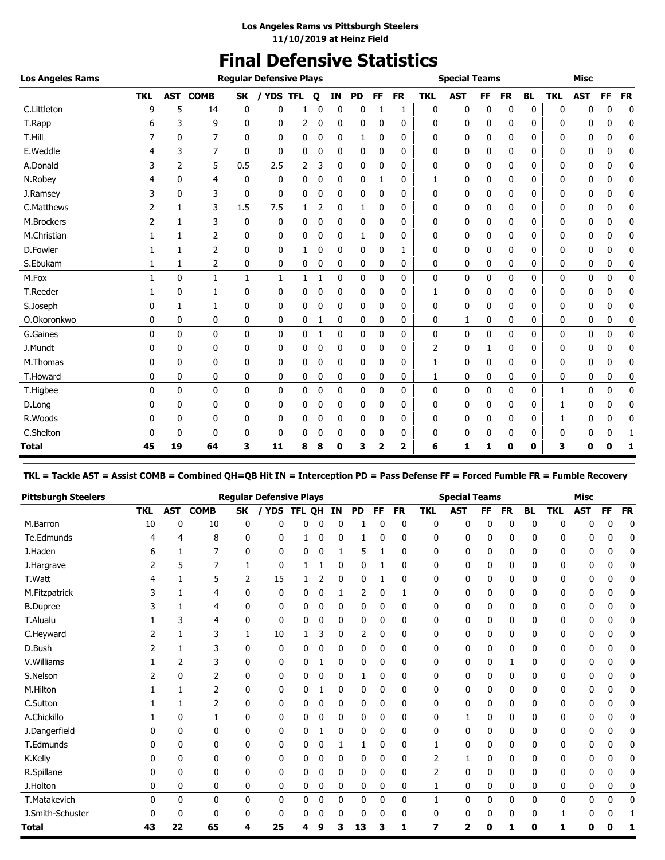# **Final Defensive Statistics**

| <b>Los Angeles Rams</b> |                |                |                |              | <b>Reqular Defensive Plays</b> |                |   |    |           |             |           |            | <b>Special Teams</b> |           |           |           |            | <b>Misc</b> |           |           |
|-------------------------|----------------|----------------|----------------|--------------|--------------------------------|----------------|---|----|-----------|-------------|-----------|------------|----------------------|-----------|-----------|-----------|------------|-------------|-----------|-----------|
|                         | <b>TKL</b>     | AST            | <b>COMB</b>    | SK           |                                | <b>YDS TFL</b> | Q | ΙN | <b>PD</b> | <b>FF</b>   | <b>FR</b> | <b>TKL</b> | <b>AST</b>           | <b>FF</b> | <b>FR</b> | <b>BL</b> | <b>TKL</b> | <b>AST</b>  | <b>FF</b> | <b>FR</b> |
| C.Littleton             | g              | 5              | 14             | 0            | 0                              |                |   | 0  | 0         |             | 1         | 0          | 0                    | 0         | 0         | 0         | 0          | 0           | 0         | 0         |
| T.Rapp                  | 6              | 3              | 9              | 0            | 0                              | 2              | 0 | 0  | 0         | 0           | 0         | 0          | 0                    | 0         | 0         | 0         | 0          | 0           | 0         | 0         |
| T.Hill                  |                | 0              | 7              | 0            | 0                              | 0              | 0 | 0  | 1         | 0           | 0         | 0          | 0                    | 0         | 0         | 0         | 0          | 0           | 0         | 0         |
| E.Weddle                | 4              | 3              | 7              | 0            | 0                              | 0              | 0 | 0  | 0         | 0           | 0         | 0          | 0                    | 0         | 0         | 0         | 0          | 0           | 0         | 0         |
| A.Donald                | 3              | $\overline{2}$ | 5              | 0.5          | 2.5                            | 2              | 3 | 0  | 0         | 0           | 0         | 0          | 0                    | 0         | 0         | 0         | 0          | 0           | 0         | 0         |
| N.Robey                 |                | 0              | 4              | 0            | 0                              | 0              |   | 0  | 0         |             | 0         |            | 0                    | 0         | 0         | 0         | 0          | 0           | 0         | 0         |
| J.Ramsey                | 3              | 0              | 3              | 0            | 0                              | 0              | 0 | 0  | 0         | 0           | 0         | 0          | 0                    | 0         | 0         | 0         | 0          | 0           | 0         | 0         |
| C.Matthews              | 2              | 1              | 3              | 1.5          | 7.5                            | 1              | 2 | 0  | 1         | 0           | 0         | 0          | 0                    | 0         | 0         | 0         | 0          | 0           | 0         | 0         |
| M.Brockers              | $\overline{2}$ | $\mathbf{1}$   | 3              | $\mathbf{0}$ | $\mathbf{0}$                   | $\mathbf{0}$   | 0 | 0  | 0         | 0           | 0         | 0          | 0                    | 0         | 0         | 0         | 0          | 0           | 0         | 0         |
| M.Christian             |                |                | 2              | 0            | 0                              | 0              | 0 | 0  | 1         | 0           | 0         | 0          | 0                    | 0         | 0         | 0         | 0          | 0           | 0         | 0         |
| D.Fowler                |                | 1              | $\overline{2}$ | 0            | 0                              | 1              | 0 | 0  | 0         | 0           | 1         | 0          | 0                    | 0         | 0         | 0         | 0          | 0           | 0         | 0         |
| S.Ebukam                | 1              | 1              | 2              | 0            | 0                              | 0              | 0 | 0  | 0         | 0           | 0         | 0          | 0                    | 0         | 0         | 0         | 0          | 0           | 0         | 0         |
| M.Fox                   |                | 0              | 1              | 1            | 1                              | 1              |   | 0  | 0         | $\mathbf 0$ | 0         | 0          | 0                    | 0         | 0         | 0         | 0          | 0           | 0         | 0         |
| T.Reeder                |                | 0              | 1              | 0            | 0                              | 0              | 0 | 0  | 0         | 0           | 0         | 1          | 0                    | 0         | 0         | 0         | 0          | 0           | 0         | 0         |
| S.Joseph                |                | 1              |                | 0            | 0                              | 0              | 0 | 0  | 0         | 0           | 0         | 0          | 0                    | 0         | 0         | 0         | 0          | 0           | 0         | 0         |
| O.Okoronkwo             | 0              | 0              | 0              | 0            | 0                              | 0              | 1 | 0  | 0         | 0           | 0         | 0          | 1                    | 0         | 0         | 0         | 0          | 0           | 0         | 0         |
| G.Gaines                | 0              | $\mathbf{0}$   | 0              | $\mathbf{0}$ | 0                              | 0              | 1 | 0  | 0         | 0           | 0         | 0          | 0                    | 0         | 0         | 0         | 0          | 0           | 0         | 0         |
| J.Mundt                 | 0              | 0              | 0              | 0            | 0                              | 0              | 0 | 0  | 0         | 0           | 0         | 2          | 0                    | 1         | 0         | 0         | 0          | 0           | 0         | 0         |
| M.Thomas                |                | 0              | 0              | 0            | 0                              | 0              | 0 | 0  | 0         | 0           | 0         | 1          | 0                    | 0         | 0         | 0         | 0          | 0           | 0         | 0         |
| T.Howard                | 0              | 0              | 0              | 0            | 0                              | 0              | 0 | 0  | 0         | 0           | 0         | 1          | 0                    | 0         | 0         | 0         | 0          | 0           | 0         | 0         |
| T.Higbee                | 0              | 0              | 0              | 0            | 0                              | 0              | 0 | 0  | 0         | 0           | 0         | 0          | 0                    | 0         | 0         | 0         | 1          | 0           | 0         | 0         |
| D.Long                  |                | 0              | 0              | 0            | 0                              | 0              | 0 | 0  | 0         | 0           | 0         | 0          | 0                    | 0         | 0         | 0         |            | 0           | 0         | 0         |
| R.Woods                 |                | 0              | 0              | 0            | 0                              | 0              | 0 | 0  | 0         | 0           | 0         | 0          | 0                    | 0         | 0         | 0         |            | 0           | 0         | 0         |
| C.Shelton               | 0              | 0              | 0              | 0            | 0                              | 0              | 0 | 0  | 0         | 0           | 0         | 0          | 0                    | 0         | 0         | 0         | 0          | 0           | 0         | 1         |
| <b>Total</b>            | 45             | 19             | 64             | 3            | 11                             | 8              | 8 | 0  | 3         | 2           | 2         | 6          | 1                    | 1         | 0         | $\bf{0}$  | 3          | 0           | $\bf{0}$  | 1         |

**TKL = Tackle AST = Assist COMB = Combined QH=QB Hit IN = Interception PD = Pass Defense FF = Forced Fumble FR = Fumble Recovery**

| <b>Pittsburgh Steelers</b> |            |              |              |                | <b>Regular Defensive Plays</b> |        |                |              |              |             |           |              | <b>Special Teams</b> |           |           |           |              | <b>Misc</b> |             |             |
|----------------------------|------------|--------------|--------------|----------------|--------------------------------|--------|----------------|--------------|--------------|-------------|-----------|--------------|----------------------|-----------|-----------|-----------|--------------|-------------|-------------|-------------|
|                            | <b>TKL</b> | <b>AST</b>   | <b>COMB</b>  | <b>SK</b>      | <b>YDS</b>                     | TFL QH |                | IN           | <b>PD</b>    | <b>FF</b>   | <b>FR</b> | <b>TKL</b>   | <b>AST</b>           | <b>FF</b> | <b>FR</b> | <b>BL</b> | <b>TKL</b>   | <b>AST</b>  | FF          | <b>FR</b>   |
| M.Barron                   | 10         | 0            | 10           | 0              | 0                              | 0      |                | 0            |              | 0           | 0         | 0            | 0                    | 0         | 0         | 0         | $\mathbf{0}$ | 0           | 0           | 0           |
| Te.Edmunds                 |            | 4            | 8            | 0              | 0                              |        | 0              | 0            | 1            | 0           | 0         | 0            | 0                    | 0         | 0         | 0         | 0            | 0           | 0           | 0           |
| J.Haden                    | 6          |              | 7            | 0              | 0                              | 0      | 0              | 1            | 5            |             | 0         | 0            | 0                    | 0         | 0         | 0         | 0            | 0           | 0           | 0           |
| J.Hargrave                 | 2          | 5            | 7            | 1              | 0                              | 1      | 1              | 0            | 0            | 1           | 0         | 0            | 0                    | 0         | 0         | 0         | 0            | 0           | 0           | 0           |
| T.Watt                     | 4          | $\mathbf{1}$ | 5            | $\overline{2}$ | 15                             | 1      | $\overline{2}$ | $\mathbf{0}$ | 0            | 1           | 0         | $\mathbf{0}$ | 0                    | 0         | 0         | 0         | $\mathbf{0}$ | $\Omega$    | $\mathbf 0$ | $\mathbf 0$ |
| M.Fitzpatrick              |            | 1            | 4            | 0              | 0                              | 0      | 0              | 1            | 2            | 0           | 1         | 0            | 0                    | 0         | 0         | 0         | 0            | 0           | 0           | 0           |
| <b>B.Dupree</b>            |            | 1            | 4            | 0              | 0                              | 0      | 0              | 0            | 0            | 0           | 0         | 0            | 0                    | 0         | 0         | 0         | 0            | 0           | 0           | 0           |
| T.Alualu                   | 1          | 3            | 4            | 0              | 0                              | 0      | 0              | 0            | 0            | 0           | 0         | 0            | 0                    | 0         | 0         | 0         | 0            | 0           | 0           | 0           |
| C.Heyward                  | 2          |              | 3            | $\mathbf{1}$   | 10                             | 1      | 3              | 0            | 2            | 0           | 0         | $\mathbf{0}$ | 0                    | 0         | 0         | 0         | $\mathbf{0}$ | 0           | $\mathbf 0$ | 0           |
| D.Bush                     |            |              | 3            | 0              | 0                              | 0      |                | 0            | 0            | 0           | 0         | 0            | 0                    | 0         | 0         | 0         | 0            | 0           | 0           | 0           |
| V. Williams                |            | 2            | 3            | 0              | 0                              | 0      |                | 0            | 0            | 0           | 0         | 0            | 0                    | 0         |           | 0         | 0            | 0           | 0           | 0           |
| S.Nelson                   | 2          | 0            | 2            | 0              | 0                              | 0      | 0              | 0            | 1            | 0           | 0         | 0            | 0                    | 0         | 0         | 0         | 0            | 0           | 0           | 0           |
| M.Hilton                   |            | $\mathbf{1}$ | 2            | 0              | 0                              | 0      | 1              | 0            | 0            | 0           | 0         | 0            | 0                    | 0         | 0         | 0         | $\mathbf 0$  | 0           | $\mathbf 0$ | 0           |
| C.Sutton                   |            |              | 2            | 0              | 0                              | 0      | 0              | 0            | 0            | 0           | 0         | 0            | 0                    | 0         | 0         | 0         | 0            | 0           | 0           | 0           |
| A.Chickillo                |            | 0            |              | 0              | 0                              | 0      | 0              | 0            | 0            | 0           | 0         | 0            | 1                    | 0         | 0         | 0         | 0            | 0           | 0           | 0           |
| J.Dangerfield              | 0          | 0            | 0            | 0              | 0                              | 0      | 1              | 0            | 0            | 0           | 0         | 0            | 0                    | 0         | 0         | 0         | 0            | 0           | 0           | 0           |
| T.Edmunds                  | $\Omega$   | $\mathbf{0}$ | $\mathbf{0}$ | $\mathbf{0}$   | 0                              | 0      | 0              | $\mathbf{1}$ | $\mathbf{1}$ | 0           | 0         | $\mathbf{1}$ | 0                    | 0         | 0         | 0         | $\mathbf 0$  | 0           | 0           | 0           |
| K.Kelly                    |            | 0            | 0            | 0              | 0                              | 0      | 0              | 0            | 0            | 0           | 0         | 2            | 1                    | 0         | 0         | 0         | 0            | 0           | 0           | 0           |
| R.Spillane                 |            | 0            | $\Omega$     | 0              | 0                              | 0      | 0              | 0            | 0            | 0           | 0         | 2            | 0                    | 0         | 0         | 0         | $\Omega$     | 0           | 0           | 0           |
| J.Holton                   | 0          | 0            | 0            | 0              | 0                              | 0      | 0              | 0            | 0            | 0           | 0         | 1            | 0                    | 0         | 0         | 0         | 0            | 0           | 0           | 0           |
| T.Matakevich               | $\Omega$   | $\mathbf{0}$ | $\mathbf{0}$ | $\mathbf{0}$   | 0                              | 0      | $\mathbf 0$    | $\mathbf 0$  | 0            | $\mathbf 0$ | 0         | 1            | 0                    | 0         | 0         | 0         | $\mathbf{0}$ | 0           | $\mathbf 0$ | 0           |
| J.Smith-Schuster           |            | 0            | $\Omega$     | 0              | 0                              | 0      | 0              | $\Omega$     | 0            | 0           | 0         | 0            | 0                    | 0         | 0         | 0         |              | 0           | ŋ           | 1           |
| <b>Total</b>               | 43         | 22           | 65           | 4              | 25                             | 4      | ą              | 3            | 13           | 3           | 1         | 7            | 2                    | ŋ         | 1         | 0         | 1            | Ω           |             |             |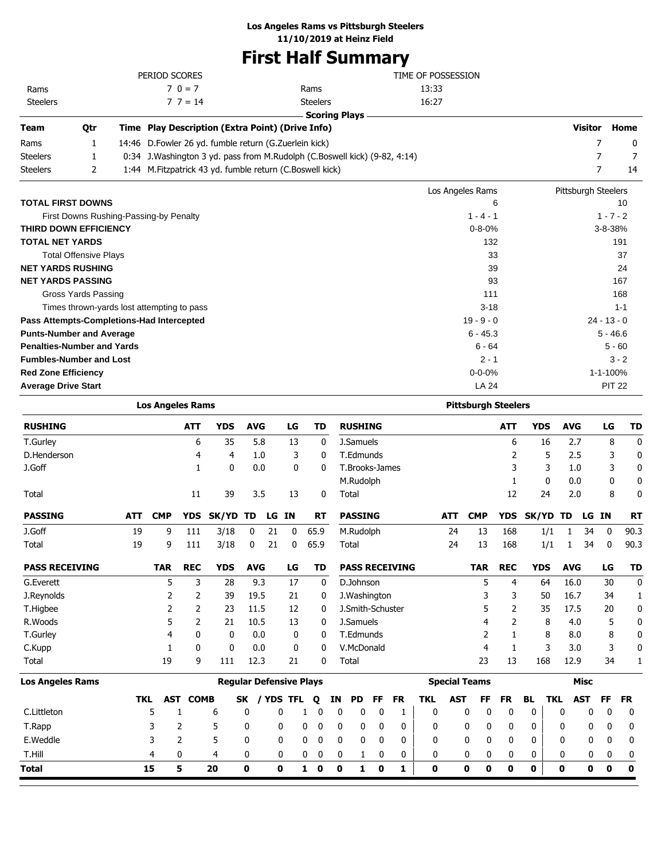### **Los Angeles Rams vs Pittsburgh Steelers**

**11/10/2019 at Heinz Field**

# **First Half Summary**

| 0tr | Time Play Description (Extra Point) (Drive Info) |                 |                    |
|-----|--------------------------------------------------|-----------------|--------------------|
|     |                                                  |                 |                    |
|     | $7 \t3 = 14$                                     | <b>Steelers</b> | 16:27              |
|     | $7.0 = 7$                                        | Rams            | 13:33              |
|     | PERIOD SCORES                                    |                 | TIME OF POSSESSION |
|     |                                                  |                 |                    |

Rams Steelers

| Team     | Otr | Time Play Description (Extra Point) (Drive Info)                             | Visitor | Home |
|----------|-----|------------------------------------------------------------------------------|---------|------|
| Rams     |     | 14:46 D. Fowler 26 yd. fumble return (G. Zuerlein kick)                      |         |      |
| Steelers |     | 0:34 J. Washington 3 yd. pass from M. Rudolph (C. Boswell kick) (9-82, 4:14) |         |      |
| Steelers |     | 1:44 M. Fitzpatrick 43 yd. fumble return (C. Boswell kick)                   |         | 14   |

|                                            | Los Angeles Rams | Pittsburgh Steelers |
|--------------------------------------------|------------------|---------------------|
| <b>TOTAL FIRST DOWNS</b>                   | 6                | 10                  |
| First Downs Rushing-Passing-by Penalty     | $1 - 4 - 1$      | $1 - 7 - 2$         |
| <b>THIRD DOWN EFFICIENCY</b>               | $0 - 8 - 0%$     | $3 - 8 - 38%$       |
| <b>TOTAL NET YARDS</b>                     | 132              | 191                 |
| <b>Total Offensive Plays</b>               | 33               | 37                  |
| <b>NET YARDS RUSHING</b>                   | 39               | 24                  |
| <b>NET YARDS PASSING</b>                   | 93               | 167                 |
| Gross Yards Passing                        | 111              | 168                 |
| Times thrown-yards lost attempting to pass | $3 - 18$         | $1 - 1$             |
| Pass Attempts-Completions-Had Intercepted  | $19 - 9 - 0$     | $24 - 13 - 0$       |
| <b>Punts-Number and Average</b>            | $6 - 45.3$       | $5 - 46.6$          |
| <b>Penalties-Number and Yards</b>          | $6 - 64$         | $5 - 60$            |
| <b>Fumbles-Number and Lost</b>             | $2 - 1$          | $3 - 2$             |
| <b>Red Zone Efficiency</b>                 | $0 - 0 - 0%$     | 1-1-100%            |
| <b>Average Drive Start</b>                 | LA 24            | <b>PIT 22</b>       |

|                       | <b>Los Angeles Rams</b> |            |                |                                |            |           |           |      |           |    |                  |    |                       |              |            | <b>Pittsburgh Steelers</b> |              |              |              |            |             |              |             |
|-----------------------|-------------------------|------------|----------------|--------------------------------|------------|-----------|-----------|------|-----------|----|------------------|----|-----------------------|--------------|------------|----------------------------|--------------|--------------|--------------|------------|-------------|--------------|-------------|
| <b>RUSHING</b>        |                         |            | <b>ATT</b>     | <b>YDS</b>                     | <b>AVG</b> |           | LG        |      | <b>TD</b> |    | <b>RUSHING</b>   |    |                       |              |            |                            | <b>ATT</b>   | <b>YDS</b>   |              | <b>AVG</b> |             | LG           | <b>TD</b>   |
| T.Gurley              |                         |            | 6              | 35                             |            | 5.8       | 13        |      | 0         |    | J.Samuels        |    |                       |              |            |                            | 6            | 16           |              | 2.7        |             | 8            | $\mathbf 0$ |
| D.Henderson           |                         |            | 4              | 4                              |            | 1.0       | 3         |      | 0         |    | T.Edmunds        |    |                       |              |            |                            | 2            |              | 5            | 2.5        |             | 3            | $\mathbf 0$ |
| J.Goff                |                         |            | 1              | $\mathbf{0}$                   |            | 0.0       | 0         |      | 0         |    | T.Brooks-James   |    |                       |              |            |                            | 3            |              | 3            | 1.0        |             | 3            | 0           |
|                       |                         |            |                |                                |            |           |           |      |           |    | M.Rudolph        |    |                       |              |            |                            | 1            |              | $\mathbf{0}$ | 0.0        |             | 0            | 0           |
| Total                 |                         |            | 11             | 39                             |            | 3.5       | 13        |      | 0         |    | Total            |    |                       |              |            |                            | 12           | 24           |              | 2.0        |             | 8            | 0           |
| <b>PASSING</b>        | <b>ATT</b>              | <b>CMP</b> | <b>YDS</b>     | SK/YD                          | TD         | LG        | <b>IN</b> |      | <b>RT</b> |    | <b>PASSING</b>   |    |                       |              | <b>ATT</b> | <b>CMP</b>                 | <b>YDS</b>   | <b>SK/YD</b> |              | TD         | LG          | <b>IN</b>    | <b>RT</b>   |
| J.Goff                | 19                      | 9          | 111            | 3/18                           | 0          | 21        | 0         | 65.9 |           |    | M.Rudolph        |    |                       |              | 24         | 13                         | 168          |              | 1/1          | 1          | 34          | $\mathbf 0$  | 90.3        |
| Total                 | 19                      | 9          | 111            | 3/18                           | 0          | 21        | 0         | 65.9 |           |    | Total            |    |                       |              | 24         | 13                         | 168          |              | 1/1          | 1          | 34          | 0            | 90.3        |
| <b>PASS RECEIVING</b> |                         | <b>TAR</b> | <b>REC</b>     | <b>YDS</b>                     | <b>AVG</b> |           | LG        |      | TD        |    |                  |    | <b>PASS RECEIVING</b> |              |            | <b>TAR</b>                 | <b>REC</b>   | <b>YDS</b>   |              | <b>AVG</b> |             | LG           | <b>TD</b>   |
| G. Everett            |                         | 5          | 3              | 28                             |            | 9.3       | 17        |      | 0         |    | D.Johnson        |    |                       |              |            | 5                          | 4            | 64           |              | 16.0       |             | 30           | $\mathbf 0$ |
| J.Reynolds            |                         | 2          | 2              | 39                             | 19.5       |           | 21        |      | 0         |    | J. Washington    |    |                       |              |            | 3                          | 3            | 50           |              | 16.7       |             | 34           | 1           |
| T.Higbee              |                         | 2          | 2              | 23                             | 11.5       |           | 12        |      | 0         |    | J.Smith-Schuster |    |                       |              |            | 5                          | 2            | 35           |              | 17.5       |             | 20           | 0           |
| R.Woods               |                         | 5          | 2              | 21                             | 10.5       |           | 13        |      | 0         |    | J.Samuels        |    |                       |              |            | 4                          | 2            |              | 8            | 4.0        |             | 5            | 0           |
| T.Gurley              |                         | 4          | 0              | 0                              |            | 0.0       | 0         |      | 0         |    | T.Edmunds        |    |                       |              |            | 2                          | 1            |              | 8            | 8.0        |             | 8            | 0           |
| C.Kupp                |                         | 1          | 0              | $\mathbf{0}$                   |            | 0.0       | 0         |      | 0         |    | V.McDonald       |    |                       |              |            | 4                          | $\mathbf{1}$ |              | 3            | 3.0        |             | 3            | 0           |
| Total                 |                         | 19         | 9              | 111                            | 12.3       |           | 21        |      | 0         |    | Total            |    |                       |              |            | 23                         | 13           | 168          |              | 12.9       |             | 34           |             |
| Los Angeles Rams      |                         |            |                | <b>Regular Defensive Plays</b> |            |           |           |      |           |    |                  |    |                       |              |            | <b>Special Teams</b>       |              |              |              |            | <b>Misc</b> |              |             |
|                       | <b>TKL</b>              | AST        | <b>COMB</b>    |                                | <b>SK</b>  | / YDS TFL |           | Q    |           | ΙN | <b>PD</b>        | FF | <b>FR</b>             | <b>TKL</b>   | <b>AST</b> | FF                         | <b>FR</b>    | <b>BL</b>    | <b>TKL</b>   |            | <b>AST</b>  | FF           | <b>FR</b>   |
| C.Littleton           |                         | 5          |                | 6                              | 0          | 0         |           |      | 0         | 0  | 0                | 0  | 1                     | $\mathbf{0}$ |            | 0<br>0                     | 0            | 0            |              | 0          | 0           | $\mathbf{0}$ | 0           |
| T.Rapp                |                         | 3          | 2              | 5                              | 0          | 0         |           | 0    | 0         | 0  | 0                | 0  | 0                     | 0            |            | 0<br>0                     | 0            | 0            |              | 0          | 0           | 0            | 0           |
| E.Weddle              |                         | 3          | $\overline{2}$ | 5                              | 0          | 0         |           | 0    | 0         | 0  | 0                | 0  | 0                     | $\Omega$     |            | 0<br>0                     | 0            | 0            |              | 0          | 0           | 0            | 0           |
| T.Hill                |                         | 4          | 0              | 4                              | 0          | 0         |           | 0    | 0         | 0  | 1                | 0  | 0                     | 0            |            | 0<br>0                     | 0            | 0            |              | 0          | 0           | 0            | 0           |
| Total                 |                         | 15         | 5              | 20                             | 0          | 0         |           | 1    | 0         | 0  | 1                | 0  | 1                     | 0            |            | 0<br>0                     | 0            | 0            |              | 0          | 0           | 0            | $\mathbf 0$ |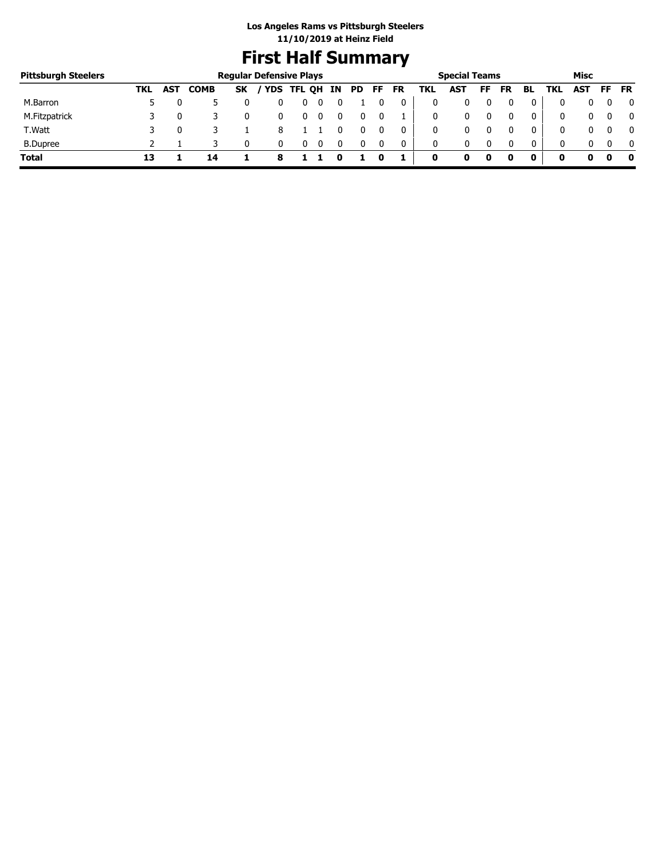# **First Half Summary**

| <b>Pittsburgh Steelers</b> |     |            |             | <b>Regular Defensive Plays</b> |            |     |     |     |           |     | <b>Special Teams</b> |    |           |              |            | Misc |     |              |
|----------------------------|-----|------------|-------------|--------------------------------|------------|-----|-----|-----|-----------|-----|----------------------|----|-----------|--------------|------------|------|-----|--------------|
|                            | TKL | <b>AST</b> | <b>COMB</b> | <b>SK</b>                      | YDS TFL QH | IN. | PD. | FF. | <b>FR</b> | TKL | AST                  | FF | <b>FR</b> | BL           | TKL        | AST  | FF. | <b>FR</b>    |
| M.Barron                   |     |            |             |                                |            |     |     |     |           |     |                      |    |           |              |            |      |     | 0            |
| M.Fitzpatrick              |     |            |             |                                |            |     |     |     |           |     | 0                    |    |           | 0            | $^{\rm 0}$ |      |     | 0            |
| T.Watt                     |     |            |             |                                |            |     |     |     | 0         |     | 0                    |    |           | 0            | 0          |      |     | $\mathbf{0}$ |
| <b>B.Dupree</b>            |     |            |             |                                |            |     |     |     | 0         | 0   | 0                    |    |           | $\mathbf{0}$ | 0          |      |     | $\mathbf{0}$ |
| <b>Total</b>               |     |            | 14          |                                |            |     |     |     |           | 0   |                      | 0  |           | 0            |            |      |     | - 0          |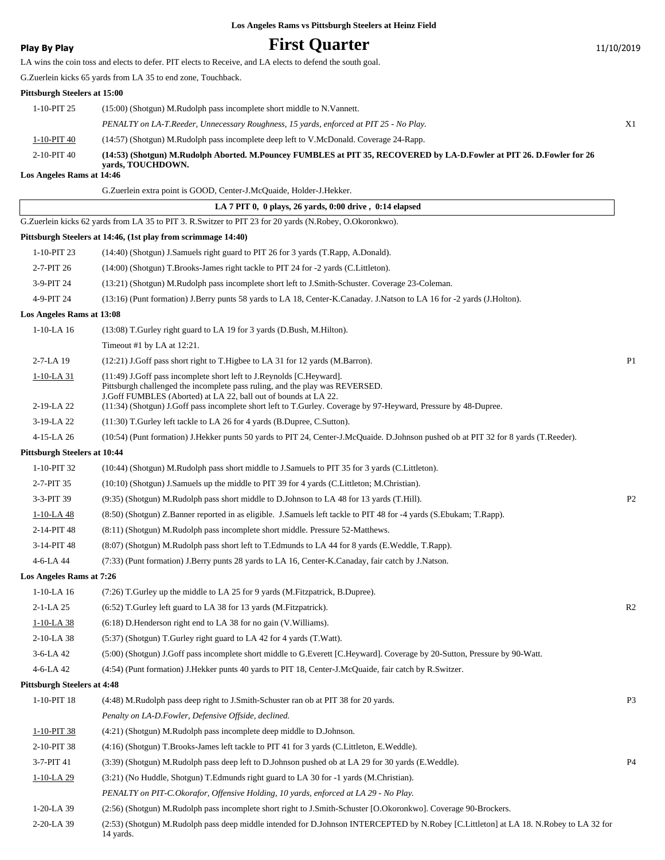## **Play By Play Play Play Play First Quarter** 11/10/2019

LA wins the coin toss and elects to defer. PIT elects to Receive, and LA elects to defend the south goal.

G.Zuerlein kicks 65 yards from LA 35 to end zone, Touchback.

#### **Pittsburgh Steelers at 15:00**

|                   | PENALTY on LA-T.Reeder, Unnecessary Roughness, 15 yards, enforced at PIT 25 - No Play.                                                     | X1 |
|-------------------|--------------------------------------------------------------------------------------------------------------------------------------------|----|
| 1-10-PIT 40       | (14:57) (Shotgun) M.Rudolph pass incomplete deep left to V.McDonald. Coverage 24-Rapp.                                                     |    |
| $2 - 10 - PIT$ 40 | (14:53) (Shotgun) M.Rudolph Aborted. M.Pouncey FUMBLES at PIT 35, RECOVERED by LA-D.Fowler at PIT 26. D.Fowler for 26<br>vards, TOUCHDOWN. |    |

#### **Los Angeles Rams at 14:46**

|                                    | G. Zuerlein extra point is GOOD, Center-J. McQuaide, Holder-J. Hekker.                                                                                                                                                  |                |
|------------------------------------|-------------------------------------------------------------------------------------------------------------------------------------------------------------------------------------------------------------------------|----------------|
|                                    | LA 7 PIT 0, 0 plays, 26 yards, 0:00 drive, 0:14 elapsed                                                                                                                                                                 |                |
|                                    | G.Zuerlein kicks 62 yards from LA 35 to PIT 3. R.Switzer to PIT 23 for 20 yards (N.Robey, O.Okoronkwo).                                                                                                                 |                |
|                                    | Pittsburgh Steelers at 14:46, (1st play from scrimmage 14:40)                                                                                                                                                           |                |
| 1-10-PIT 23                        | (14:40) (Shotgun) J.Samuels right guard to PIT 26 for 3 yards (T.Rapp, A.Donald).                                                                                                                                       |                |
| 2-7-PIT 26                         | (14:00) (Shotgun) T.Brooks-James right tackle to PIT 24 for -2 yards (C.Littleton).                                                                                                                                     |                |
| 3-9-PIT 24                         | (13:21) (Shotgun) M.Rudolph pass incomplete short left to J.Smith-Schuster. Coverage 23-Coleman.                                                                                                                        |                |
| 4-9-PIT 24                         | (13:16) (Punt formation) J.Berry punts 58 yards to LA 18, Center-K.Canaday. J.Natson to LA 16 for -2 yards (J.Holton).                                                                                                  |                |
| Los Angeles Rams at 13:08          |                                                                                                                                                                                                                         |                |
| $1-10-LA$ 16                       | (13:08) T.Gurley right guard to LA 19 for 3 yards (D.Bush, M.Hilton).                                                                                                                                                   |                |
|                                    | Timeout #1 by LA at 12:21.                                                                                                                                                                                              |                |
| 2-7-LA 19                          | (12:21) J.Goff pass short right to T.Higbee to LA 31 for 12 yards (M.Barron).                                                                                                                                           | P <sub>1</sub> |
| 1-10-LA 31<br>2-19-LA 22           | (11:49) J.Goff pass incomplete short left to J.Reynolds [C.Heyward].<br>Pittsburgh challenged the incomplete pass ruling, and the play was REVERSED.<br>J.Goff FUMBLES (Aborted) at LA 22, ball out of bounds at LA 22. |                |
|                                    | (11:34) (Shotgun) J.Goff pass incomplete short left to T.Gurley. Coverage by 97-Heyward, Pressure by 48-Dupree.                                                                                                         |                |
| 3-19-LA 22                         | (11:30) T.Gurley left tackle to LA 26 for 4 yards (B.Dupree, C.Sutton).                                                                                                                                                 |                |
| 4-15-LA 26                         | (10:54) (Punt formation) J.Hekker punts 50 yards to PIT 24, Center-J.McQuaide. D.Johnson pushed ob at PIT 32 for 8 yards (T.Reeder).                                                                                    |                |
| Pittsburgh Steelers at 10:44       | (10:44) (Shotgun) M.Rudolph pass short middle to J.Samuels to PIT 35 for 3 yards (C.Littleton).                                                                                                                         |                |
| 1-10-PIT 32                        |                                                                                                                                                                                                                         |                |
| 2-7-PIT 35                         | (10:10) (Shotgun) J.Samuels up the middle to PIT 39 for 4 yards (C.Littleton; M.Christian).                                                                                                                             |                |
| 3-3-PIT 39                         | (9:35) (Shotgun) M.Rudolph pass short middle to D.Johnson to LA 48 for 13 yards (T.Hill).                                                                                                                               | P <sub>2</sub> |
| 1-10-LA 48                         | (8.50) (Shotgun) Z.Banner reported in as eligible. J.Samuels left tackle to PIT 48 for -4 yards (S.Ebukam; T.Rapp).                                                                                                     |                |
| 2-14-PIT 48                        | (8.11) (Shotgun) M.Rudolph pass incomplete short middle. Pressure 52-Matthews.                                                                                                                                          |                |
| 3-14-PIT 48                        | (8:07) (Shotgun) M.Rudolph pass short left to T.Edmunds to LA 44 for 8 yards (E.Weddle, T.Rapp).                                                                                                                        |                |
| 4-6-LA 44                          | (7:33) (Punt formation) J.Berry punts 28 yards to LA 16, Center-K.Canaday, fair catch by J.Natson.                                                                                                                      |                |
| Los Angeles Rams at 7:26           |                                                                                                                                                                                                                         |                |
| $1-10-LA$ 16                       | (7:26) T. Gurley up the middle to LA 25 for 9 yards (M. Fitzpatrick, B. Dupree).<br>(6:52) T.Gurley left guard to LA 38 for 13 yards (M.Fitzpatrick).                                                                   |                |
| $2-1-LA$ 25                        |                                                                                                                                                                                                                         | R <sub>2</sub> |
| $1-10-LA$ 38                       | (6:18) D. Henderson right end to LA 38 for no gain (V. Williams).                                                                                                                                                       |                |
| 2-10-LA 38                         | (5:37) (Shotgun) T.Gurley right guard to LA 42 for 4 yards (T.Watt).                                                                                                                                                    |                |
| $3-6-LA$ 42                        | (5:00) (Shotgun) J.Goff pass incomplete short middle to G.Everett [C.Heyward]. Coverage by 20-Sutton, Pressure by 90-Watt.                                                                                              |                |
| 4-6-LA 42                          | (4:54) (Punt formation) J.Hekker punts 40 yards to PIT 18, Center-J.McQuaide, fair catch by R.Switzer.                                                                                                                  |                |
| <b>Pittsburgh Steelers at 4:48</b> |                                                                                                                                                                                                                         |                |
| 1-10-PIT 18                        | (4:48) M.Rudolph pass deep right to J.Smith-Schuster ran ob at PIT 38 for 20 yards.                                                                                                                                     | P <sub>3</sub> |
|                                    | Penalty on LA-D.Fowler, Defensive Offside, declined.                                                                                                                                                                    |                |
| 1-10-PIT 38                        | (4:21) (Shotgun) M.Rudolph pass incomplete deep middle to D.Johnson.                                                                                                                                                    |                |
| 2-10-PIT 38                        | (4:16) (Shotgun) T.Brooks-James left tackle to PIT 41 for 3 yards (C.Littleton, E.Weddle).                                                                                                                              |                |
| 3-7-PIT 41                         | (3:39) (Shotgun) M.Rudolph pass deep left to D.Johnson pushed ob at LA 29 for 30 yards (E.Weddle).                                                                                                                      | P <sub>4</sub> |
| $1-10-LA$ 29                       | (3:21) (No Huddle, Shotgun) T.Edmunds right guard to LA 30 for -1 yards (M.Christian).                                                                                                                                  |                |
|                                    | PENALTY on PIT-C.Okorafor, Offensive Holding, 10 yards, enforced at LA 29 - No Play.                                                                                                                                    |                |
| 1-20-LA 39                         | (2:56) (Shotgun) M.Rudolph pass incomplete short right to J.Smith-Schuster [O.Okoronkwo]. Coverage 90-Brockers.                                                                                                         |                |

(2:53) (Shotgun) M.Rudolph pass deep middle intended for D.Johnson INTERCEPTED by N.Robey [C.Littleton] at LA 18. N.Robey to LA 32 for 14 yards. 2-20-LA 39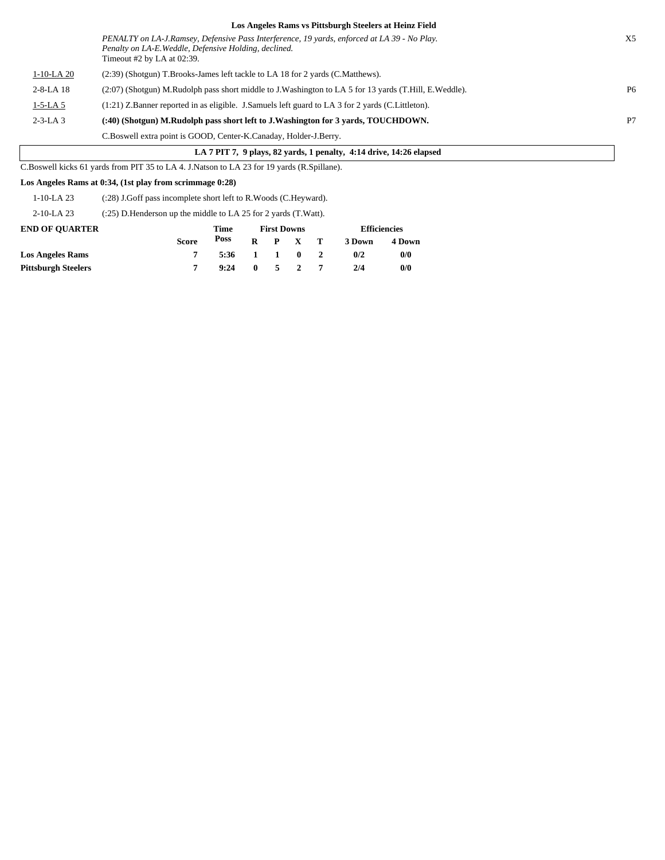|                                                                     | Los Angeles Rams vs Pittsburgh Steelers at Heinz Field                                                                                                                               |                |  |  |  |  |  |
|---------------------------------------------------------------------|--------------------------------------------------------------------------------------------------------------------------------------------------------------------------------------|----------------|--|--|--|--|--|
|                                                                     | PENALTY on LA-J.Ramsey, Defensive Pass Interference, 19 yards, enforced at LA 39 - No Play.<br>Penalty on LA-E. Weddle, Defensive Holding, declined.<br>Timeout $#2$ by LA at 02:39. | X <sub>5</sub> |  |  |  |  |  |
| $1-10-LA$ 20                                                        | (2:39) (Shotgun) T.Brooks-James left tackle to LA 18 for 2 yards (C.Matthews).                                                                                                       |                |  |  |  |  |  |
| $2 - 8 - LA$ 18                                                     | (2:07) (Shotgun) M.Rudolph pass short middle to J.Washington to LA 5 for 13 yards (T.Hill, E.Weddle).                                                                                | P <sub>6</sub> |  |  |  |  |  |
| $1-5-LA$ 5                                                          | $(1:21)$ Z.Banner reported in as eligible. J.Samuels left guard to LA 3 for 2 yards (C.Littleton).                                                                                   |                |  |  |  |  |  |
| $2 - 3 - LA$ 3                                                      | (:40) (Shotgun) M.Rudolph pass short left to J.Washington for 3 yards, TOUCHDOWN.                                                                                                    | P7             |  |  |  |  |  |
|                                                                     | C.Boswell extra point is GOOD, Center-K.Canaday, Holder-J.Berry.                                                                                                                     |                |  |  |  |  |  |
| LA 7 PIT 7, 9 plays, 82 yards, 1 penalty, 4:14 drive, 14:26 elapsed |                                                                                                                                                                                      |                |  |  |  |  |  |

 $\Box$ C.Boswell kicks 61 yards from PIT 35 to LA 4. J.Natson to LA 23 for 19 yards (R.Spillane).

#### **Los Angeles Rams at 0:34, (1st play from scrimmage 0:28)**

| 1-10-LA 23 | (:28) J.Goff pass incomplete short left to R.Woods (C.Heyward). |
|------------|-----------------------------------------------------------------|
|------------|-----------------------------------------------------------------|

2-10-LA 23 (:25) D.Henderson up the middle to LA 25 for 2 yards (T.Watt).

| <b>END OF OUARTER</b>      |              | Time |  | <b>First Downs</b> | <b>Efficiencies</b> |        |  |
|----------------------------|--------------|------|--|--------------------|---------------------|--------|--|
|                            | <b>Score</b> | Poss |  | $R$ $P$ $X$ $T$    | 3 Down              | 4 Down |  |
| <b>Los Angeles Rams</b>    |              | 5:36 |  | 1 1 0 2            | 0/2                 | 0/0    |  |
| <b>Pittsburgh Steelers</b> |              | 9:24 |  | $0 \t 5 \t 2$      | 2/4                 | 0/0    |  |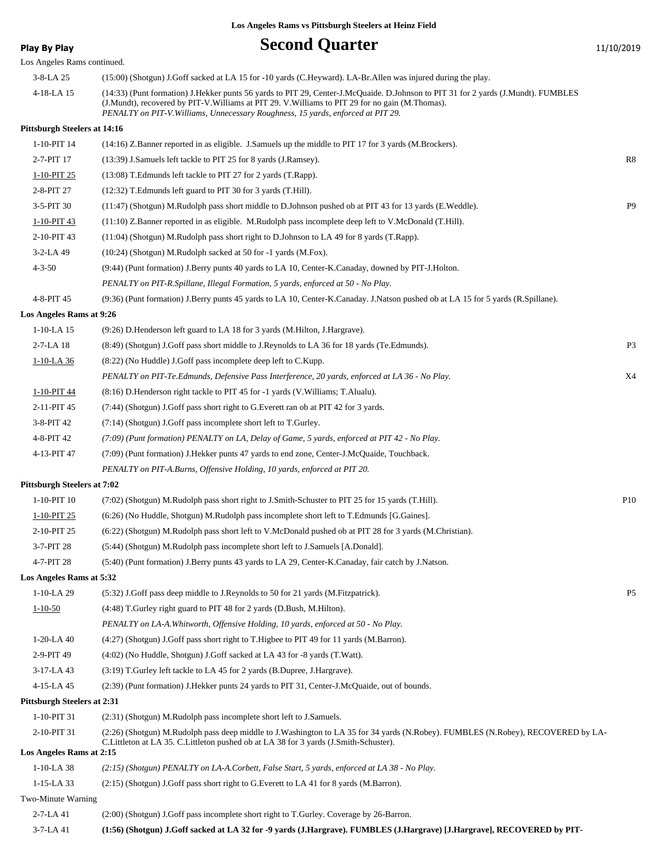**Play By Play Play Play Second Quarter** 11/10/2019

| Los Angeles Rams continued.         |                                                                                                                                                                                                                                                                                                                         |                |
|-------------------------------------|-------------------------------------------------------------------------------------------------------------------------------------------------------------------------------------------------------------------------------------------------------------------------------------------------------------------------|----------------|
| 3-8-LA 25                           | (15:00) (Shotgun) J.Goff sacked at LA 15 for -10 yards (C.Heyward). LA-Br.Allen was injured during the play.                                                                                                                                                                                                            |                |
| 4-18-LA 15                          | (14:33) (Punt formation) J.Hekker punts 56 yards to PIT 29, Center-J.McQuaide. D.Johnson to PIT 31 for 2 yards (J.Mundt). FUMBLES<br>(J.Mundt), recovered by PIT-V.Williams at PIT 29. V.Williams to PIT 29 for no gain (M.Thomas).<br>PENALTY on PIT-V. Williams, Unnecessary Roughness, 15 yards, enforced at PIT 29. |                |
| <b>Pittsburgh Steelers at 14:16</b> |                                                                                                                                                                                                                                                                                                                         |                |
| 1-10-PIT 14                         | (14:16) Z.Banner reported in as eligible. J.Samuels up the middle to PIT 17 for 3 yards (M.Brockers).                                                                                                                                                                                                                   |                |
| 2-7-PIT 17                          | (13:39) J.Samuels left tackle to PIT 25 for 8 yards (J.Ramsey).                                                                                                                                                                                                                                                         | R8             |
| 1-10-PIT 25                         | (13:08) T.Edmunds left tackle to PIT 27 for 2 yards (T.Rapp).                                                                                                                                                                                                                                                           |                |
| 2-8-PIT 27                          | (12:32) T.Edmunds left guard to PIT 30 for 3 yards (T.Hill).                                                                                                                                                                                                                                                            |                |
| 3-5-PIT 30                          | (11:47) (Shotgun) M.Rudolph pass short middle to D.Johnson pushed ob at PIT 43 for 13 yards (E.Weddle).                                                                                                                                                                                                                 | P <sub>9</sub> |
| 1-10-PIT 43                         | (11:10) Z.Banner reported in as eligible. M.Rudolph pass incomplete deep left to V.McDonald (T.Hill).                                                                                                                                                                                                                   |                |
| 2-10-PIT 43                         | (11:04) (Shotgun) M.Rudolph pass short right to D.Johnson to LA 49 for 8 yards (T.Rapp).                                                                                                                                                                                                                                |                |
| 3-2-LA 49                           | (10:24) (Shotgun) M.Rudolph sacked at 50 for -1 yards (M.Fox).                                                                                                                                                                                                                                                          |                |
| $4 - 3 - 50$                        | (9:44) (Punt formation) J.Berry punts 40 yards to LA 10, Center-K.Canaday, downed by PIT-J.Holton.                                                                                                                                                                                                                      |                |
|                                     | PENALTY on PIT-R.Spillane, Illegal Formation, 5 yards, enforced at 50 - No Play.                                                                                                                                                                                                                                        |                |
| 4-8-PIT 45                          | (9:36) (Punt formation) J.Berry punts 45 yards to LA 10, Center-K.Canaday. J.Natson pushed ob at LA 15 for 5 yards (R.Spillane).                                                                                                                                                                                        |                |
| Los Angeles Rams at 9:26            |                                                                                                                                                                                                                                                                                                                         |                |
| $1-10-LA$ 15                        | (9:26) D.Henderson left guard to LA 18 for 3 yards (M.Hilton, J.Hargrave).                                                                                                                                                                                                                                              |                |
| 2-7-LA 18                           | (8.49) (Shotgun) J.Goff pass short middle to J.Reynolds to LA 36 for 18 yards (Te.Edmunds).                                                                                                                                                                                                                             | P <sub>3</sub> |
| 1-10-LA 36                          | (8:22) (No Huddle) J.Goff pass incomplete deep left to C.Kupp.                                                                                                                                                                                                                                                          |                |
|                                     | PENALTY on PIT-Te. Edmunds, Defensive Pass Interference, 20 yards, enforced at LA 36 - No Play.                                                                                                                                                                                                                         | X4             |
| 1-10-PIT 44                         | (8.16) D. Henderson right tackle to PIT 45 for -1 yards (V. Williams; T. Alualu).                                                                                                                                                                                                                                       |                |
| 2-11-PIT 45                         | (7:44) (Shotgun) J.Goff pass short right to G.Everett ran ob at PIT 42 for 3 yards.                                                                                                                                                                                                                                     |                |
| 3-8-PIT 42                          | (7:14) (Shotgun) J.Goff pass incomplete short left to T.Gurley.                                                                                                                                                                                                                                                         |                |
| 4-8-PIT 42                          | (7:09) (Punt formation) PENALTY on LA, Delay of Game, 5 yards, enforced at PIT 42 - No Play.                                                                                                                                                                                                                            |                |
| 4-13-PIT 47                         | (7:09) (Punt formation) J.Hekker punts 47 yards to end zone, Center-J.McQuaide, Touchback.                                                                                                                                                                                                                              |                |
|                                     | PENALTY on PIT-A.Burns, Offensive Holding, 10 yards, enforced at PIT 20.                                                                                                                                                                                                                                                |                |
| <b>Pittsburgh Steelers at 7:02</b>  |                                                                                                                                                                                                                                                                                                                         |                |
| 1-10-PIT 10                         | (7:02) (Shotgun) M.Rudolph pass short right to J.Smith-Schuster to PIT 25 for 15 yards (T.Hill).                                                                                                                                                                                                                        | P10            |
| 1-10-PIT 25                         | (6:26) (No Huddle, Shotgun) M.Rudolph pass incomplete short left to T.Edmunds [G.Gaines].                                                                                                                                                                                                                               |                |
| 2-10-PIT 25                         | (6:22) (Shotgun) M.Rudolph pass short left to V.McDonald pushed ob at PIT 28 for 3 yards (M.Christian).                                                                                                                                                                                                                 |                |
| 3-7-PIT 28                          | (5:44) (Shotgun) M.Rudolph pass incomplete short left to J.Samuels [A.Donald].                                                                                                                                                                                                                                          |                |
| 4-7-PIT 28                          | (5:40) (Punt formation) J.Berry punts 43 yards to LA 29, Center-K.Canaday, fair catch by J.Natson.                                                                                                                                                                                                                      |                |
| Los Angeles Rams at 5:32            |                                                                                                                                                                                                                                                                                                                         |                |
| $1-10-LA$ 29                        | (5:32) J.Goff pass deep middle to J.Reynolds to 50 for 21 yards (M.Fitzpatrick).                                                                                                                                                                                                                                        | P <sub>5</sub> |
| $1 - 10 - 50$                       | (4:48) T.Gurley right guard to PIT 48 for 2 yards (D.Bush, M.Hilton).                                                                                                                                                                                                                                                   |                |
|                                     | PENALTY on LA-A. Whitworth, Offensive Holding, 10 yards, enforced at 50 - No Play.                                                                                                                                                                                                                                      |                |
| $1-20-LA$ 40                        | (4:27) (Shotgun) J.Goff pass short right to T.Higbee to PIT 49 for 11 yards (M.Barron).                                                                                                                                                                                                                                 |                |
| 2-9-PIT 49                          | (4:02) (No Huddle, Shotgun) J.Goff sacked at LA 43 for -8 yards (T.Watt).                                                                                                                                                                                                                                               |                |
| 3-17-LA 43                          | (3:19) T.Gurley left tackle to LA 45 for 2 yards (B.Dupree, J.Hargrave).                                                                                                                                                                                                                                                |                |
| 4-15-LA 45                          | (2:39) (Punt formation) J.Hekker punts 24 yards to PIT 31, Center-J.McQuaide, out of bounds.                                                                                                                                                                                                                            |                |
| <b>Pittsburgh Steelers at 2:31</b>  |                                                                                                                                                                                                                                                                                                                         |                |
| 1-10-PIT 31                         | (2:31) (Shotgun) M.Rudolph pass incomplete short left to J.Samuels.                                                                                                                                                                                                                                                     |                |
| 2-10-PIT 31                         | (2:26) (Shotgun) M.Rudolph pass deep middle to J.Washington to LA 35 for 34 yards (N.Robey). FUMBLES (N.Robey), RECOVERED by LA-                                                                                                                                                                                        |                |
|                                     | C.Littleton at LA 35. C.Littleton pushed ob at LA 38 for 3 yards (J.Smith-Schuster).                                                                                                                                                                                                                                    |                |
| Los Angeles Rams at 2:15            |                                                                                                                                                                                                                                                                                                                         |                |
| $1-10-LA$ 38                        | (2:15) (Shotgun) PENALTY on LA-A.Corbett, False Start, 5 yards, enforced at LA 38 - No Play.                                                                                                                                                                                                                            |                |
| $1-15-LA$ 33                        | (2:15) (Shotgun) J.Goff pass short right to G.Everett to LA 41 for 8 yards (M.Barron).                                                                                                                                                                                                                                  |                |
| Two-Minute Warning                  |                                                                                                                                                                                                                                                                                                                         |                |
| 2-7-LA 41                           | (2:00) (Shotgun) J.Goff pass incomplete short right to T.Gurley. Coverage by 26-Barron.                                                                                                                                                                                                                                 |                |
| 3-7-LA 41                           | (1:56) (Shotgun) J.Goff sacked at LA 32 for -9 yards (J.Hargrave). FUMBLES (J.Hargrave) [J.Hargrave], RECOVERED by PIT-                                                                                                                                                                                                 |                |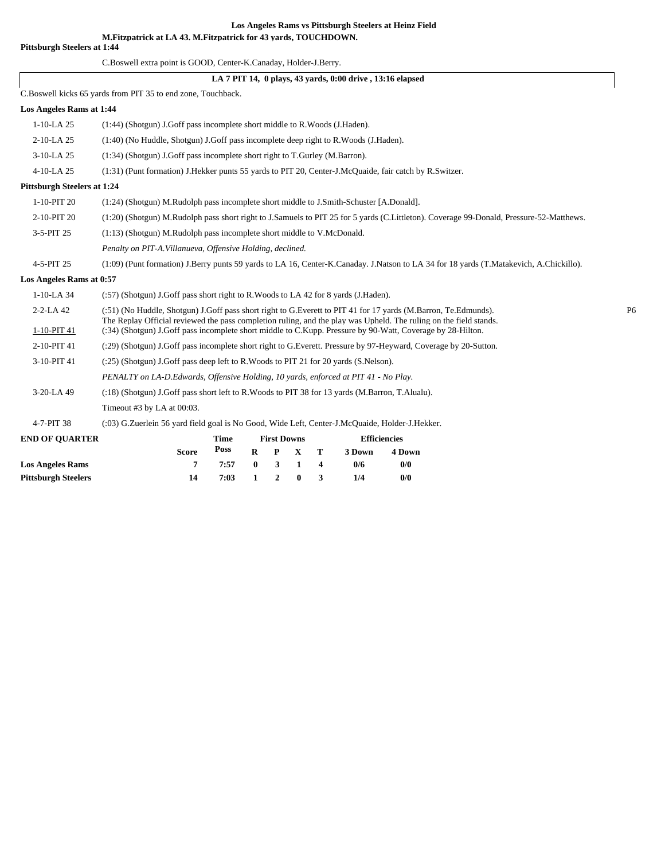**M.Fitzpatrick at LA 43. M.Fitzpatrick for 43 yards, TOUCHDOWN.**

#### **Pittsburgh Steelers at 1:44**

C.Boswell extra point is GOOD, Center-K.Canaday, Holder-J.Berry.

#### **LA 7 PIT 14, 0 plays, 43 yards, 0:00 drive , 13:16 elapsed**

C.Boswell kicks 65 yards from PIT 35 to end zone, Touchback.

| Los Angeles Rams at 1:44           |                                                                                                                                                                                                                                 |      |          |                    |             |   |        |                     |                                                                                                                                         |                |
|------------------------------------|---------------------------------------------------------------------------------------------------------------------------------------------------------------------------------------------------------------------------------|------|----------|--------------------|-------------|---|--------|---------------------|-----------------------------------------------------------------------------------------------------------------------------------------|----------------|
| $1-10-LA$ 25                       | (1:44) (Shotgun) J.Goff pass incomplete short middle to R.Woods (J.Haden).                                                                                                                                                      |      |          |                    |             |   |        |                     |                                                                                                                                         |                |
| $2-10-LA$ 25                       | (1:40) (No Huddle, Shotgun) J.Goff pass incomplete deep right to R.Woods (J.Haden).                                                                                                                                             |      |          |                    |             |   |        |                     |                                                                                                                                         |                |
| 3-10-LA 25                         | (1:34) (Shotgun) J.Goff pass incomplete short right to T.Gurley (M.Barron).                                                                                                                                                     |      |          |                    |             |   |        |                     |                                                                                                                                         |                |
| 4-10-LA 25                         | (1:31) (Punt formation) J.Hekker punts 55 yards to PIT 20, Center-J.McQuaide, fair catch by R.Switzer.                                                                                                                          |      |          |                    |             |   |        |                     |                                                                                                                                         |                |
| <b>Pittsburgh Steelers at 1:24</b> |                                                                                                                                                                                                                                 |      |          |                    |             |   |        |                     |                                                                                                                                         |                |
| 1-10-PIT 20                        | (1:24) (Shotgun) M.Rudolph pass incomplete short middle to J.Smith-Schuster [A.Donald].                                                                                                                                         |      |          |                    |             |   |        |                     |                                                                                                                                         |                |
| 2-10-PIT 20                        |                                                                                                                                                                                                                                 |      |          |                    |             |   |        |                     | (1:20) (Shotgun) M.Rudolph pass short right to J.Samuels to PIT 25 for 5 yards (C.Littleton). Coverage 99-Donald, Pressure-52-Matthews. |                |
| 3-5-PIT 25                         | $(1:13)$ (Shotgun) M.Rudolph pass incomplete short middle to V.McDonald.                                                                                                                                                        |      |          |                    |             |   |        |                     |                                                                                                                                         |                |
|                                    | Penalty on PIT-A. Villanueva, Offensive Holding, declined.                                                                                                                                                                      |      |          |                    |             |   |        |                     |                                                                                                                                         |                |
| 4-5-PIT 25                         |                                                                                                                                                                                                                                 |      |          |                    |             |   |        |                     | (1:09) (Punt formation) J.Berry punts 59 yards to LA 16, Center-K.Canaday. J.Natson to LA 34 for 18 yards (T.Matakevich, A.Chickillo).  |                |
| Los Angeles Rams at 0:57           |                                                                                                                                                                                                                                 |      |          |                    |             |   |        |                     |                                                                                                                                         |                |
| $1-10-LA$ 34                       | (:57) (Shotgun) J.Goff pass short right to R.Woods to LA 42 for 8 yards (J.Haden).                                                                                                                                              |      |          |                    |             |   |        |                     |                                                                                                                                         |                |
| $2 - 2 - LA 42$                    | (:51) (No Huddle, Shotgun) J.Goff pass short right to G.Everett to PIT 41 for 17 yards (M.Barron, Te.Edmunds).                                                                                                                  |      |          |                    |             |   |        |                     |                                                                                                                                         | P <sub>6</sub> |
| 1-10-PIT 41                        | The Replay Official reviewed the pass completion ruling, and the play was Upheld. The ruling on the field stands.<br>(:34) (Shotgun) J.Goff pass incomplete short middle to C.Kupp. Pressure by 90-Watt, Coverage by 28-Hilton. |      |          |                    |             |   |        |                     |                                                                                                                                         |                |
| 2-10-PIT 41                        | (:29) (Shotgun) J.Goff pass incomplete short right to G.Everett. Pressure by 97-Heyward, Coverage by 20-Sutton.                                                                                                                 |      |          |                    |             |   |        |                     |                                                                                                                                         |                |
| 3-10-PIT 41                        | (:25) (Shotgun) J.Goff pass deep left to R.Woods to PIT 21 for 20 yards (S.Nelson).                                                                                                                                             |      |          |                    |             |   |        |                     |                                                                                                                                         |                |
|                                    | PENALTY on LA-D.Edwards, Offensive Holding, 10 yards, enforced at PIT 41 - No Play.                                                                                                                                             |      |          |                    |             |   |        |                     |                                                                                                                                         |                |
| 3-20-LA 49                         | (:18) (Shotgun) J.Goff pass short left to R.Woods to PIT 38 for 13 yards (M.Barron, T.Alualu).                                                                                                                                  |      |          |                    |             |   |        |                     |                                                                                                                                         |                |
|                                    | Timeout #3 by LA at $00:03$ .                                                                                                                                                                                                   |      |          |                    |             |   |        |                     |                                                                                                                                         |                |
| 4-7-PIT 38                         | (:03) G.Zuerlein 56 yard field goal is No Good, Wide Left, Center-J.McQuaide, Holder-J.Hekker.                                                                                                                                  |      |          |                    |             |   |        |                     |                                                                                                                                         |                |
| <b>END OF QUARTER</b>              |                                                                                                                                                                                                                                 | Time |          | <b>First Downs</b> |             |   |        | <b>Efficiencies</b> |                                                                                                                                         |                |
|                                    | <b>Score</b>                                                                                                                                                                                                                    | Poss | $\bf{R}$ | P                  | $\mathbf X$ | T | 3 Down | 4 Down              |                                                                                                                                         |                |
| <b>Los Angeles Rams</b>            | 7                                                                                                                                                                                                                               | 7:57 | $\bf{0}$ | 3                  | 1           | 4 | 0/6    | 0/0                 |                                                                                                                                         |                |
| <b>Pittsburgh Steelers</b>         | 14                                                                                                                                                                                                                              | 7:03 | 1        | $\overline{2}$     | $\bf{0}$    | 3 | 1/4    | 0/0                 |                                                                                                                                         |                |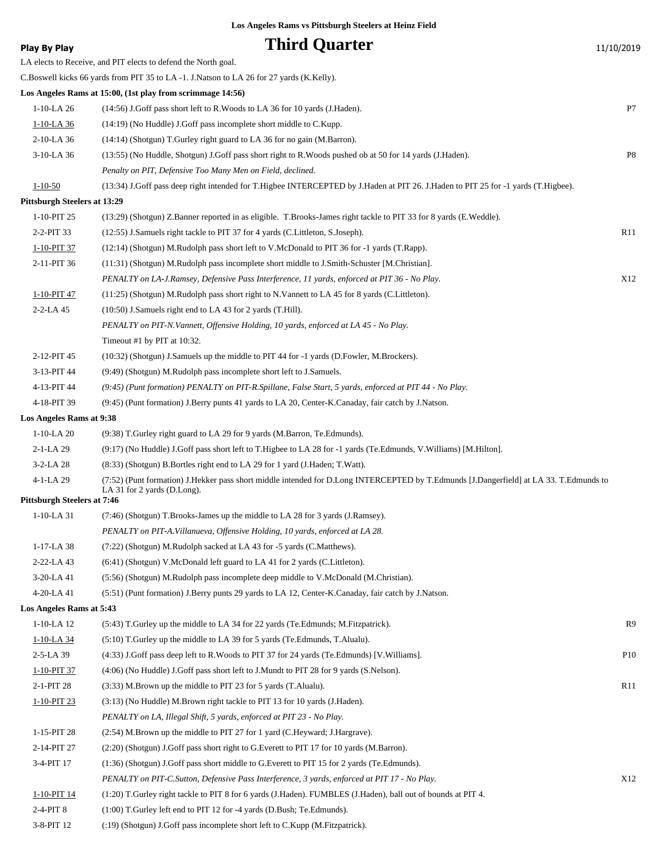**Play By Play Play Play Play By Play Third Quarter** 11/10/2019 LA elects to Receive, and PIT elects to defend the North goal. C.Boswell kicks 66 yards from PIT 35 to LA -1. J.Natson to LA 26 for 27 yards (K.Kelly). **Los Angeles Rams at 15:00, (1st play from scrimmage 14:56)** 1-10-LA 26 (14:56) J.Goff pass short left to R.Woods to LA 36 for 10 yards (J.Haden). P7 1-10-LA 36 (14:19) (No Huddle) J.Goff pass incomplete short middle to C.Kupp. 2-10-LA 36 (14:14) (Shotgun) T.Gurley right guard to LA 36 for no gain (M.Barron). 3-10-LA 36 (13:55) (No Huddle, Shotgun) J.Goff pass short right to R.Woods pushed ob at 50 for 14 yards (J.Haden). P8 *Penalty on PIT, Defensive Too Many Men on Field, declined.* 1-10-50 (13:34) J.Goff pass deep right intended for T.Higbee INTERCEPTED by J.Haden at PIT 26. J.Haden to PIT 25 for -1 yards (T.Higbee). **Pittsburgh Steelers at 13:29** 1-10-PIT 25 (13:29) (Shotgun) Z.Banner reported in as eligible. T.Brooks-James right tackle to PIT 33 for 8 yards (E.Weddle). 2-2-PIT 33 (12:55) J.Samuels right tackle to PIT 37 for 4 yards (C.Littleton, S.Joseph). R11 1-10-PIT 37 (12:14) (Shotgun) M.Rudolph pass short left to V.McDonald to PIT 36 for -1 yards (T.Rapp). 2-11-PIT 36 (11:31) (Shotgun) M.Rudolph pass incomplete short middle to J.Smith-Schuster [M.Christian]. *PENALTY on LA-J.Ramsey, Defensive Pass Interference, 11 yards, enforced at PIT 36 - No Play.* X12 1-10-PIT 47 (11:25) (Shotgun) M.Rudolph pass short right to N.Vannett to LA 45 for 8 yards (C.Littleton). 2-2-LA 45 (10:50) J.Samuels right end to LA 43 for 2 yards (T.Hill). *PENALTY on PIT-N.Vannett, Offensive Holding, 10 yards, enforced at LA 45 - No Play.* Timeout #1 by PIT at 10:32. 2-12-PIT 45 (10:32) (Shotgun) J.Samuels up the middle to PIT 44 for -1 yards (D.Fowler, M.Brockers). 3-13-PIT 44 (9:49) (Shotgun) M.Rudolph pass incomplete short left to J.Samuels. 4-13-PIT 44 *(9:45) (Punt formation) PENALTY on PIT-R.Spillane, False Start, 5 yards, enforced at PIT 44 - No Play.* 4-18-PIT 39 (9:45) (Punt formation) J.Berry punts 41 yards to LA 20, Center-K.Canaday, fair catch by J.Natson. **Los Angeles Rams at 9:38** 1-10-LA 20 (9:38) T.Gurley right guard to LA 29 for 9 yards (M.Barron, Te.Edmunds). 2-1-LA 29 (9:17) (No Huddle) J.Goff pass short left to T.Higbee to LA 28 for -1 yards (Te.Edmunds, V.Williams) [M.Hilton]. 3-2-LA 28 (8:33) (Shotgun) B.Bortles right end to LA 29 for 1 yard (J.Haden; T.Watt). (7:52) (Punt formation) J.Hekker pass short middle intended for D.Long INTERCEPTED by T.Edmunds [J.Dangerfield] at LA 33. T.Edmunds to LA 31 for 2 yards (D.Long). 4-1-LA 29 **Pittsburgh Steelers at 7:46** 1-10-LA 31 (7:46) (Shotgun) T.Brooks-James up the middle to LA 28 for 3 yards (J.Ramsey). *PENALTY on PIT-A.Villanueva, Offensive Holding, 10 yards, enforced at LA 28.* 1-17-LA 38 (7:22) (Shotgun) M.Rudolph sacked at LA 43 for -5 yards (C.Matthews). 2-22-LA 43 (6:41) (Shotgun) V.McDonald left guard to LA 41 for 2 yards (C.Littleton). 3-20-LA 41 (5:56) (Shotgun) M.Rudolph pass incomplete deep middle to V.McDonald (M.Christian). 4-20-LA 41 (5:51) (Punt formation) J.Berry punts 29 yards to LA 12, Center-K.Canaday, fair catch by J.Natson. **Los Angeles Rams at 5:43** 1-10-LA 12 (5:43) T.Gurley up the middle to LA 34 for 22 yards (Te.Edmunds; M.Fitzpatrick). R9 1-10-LA 34 (5:10) T.Gurley up the middle to LA 39 for 5 yards (Te.Edmunds, T.Alualu). 2-5-LA 39 (4:33) J.Goff pass deep left to R.Woods to PIT 37 for 24 yards (Te.Edmunds) [V.Williams]. P10 1-10-PIT 37 (4:06) (No Huddle) J.Goff pass short left to J.Mundt to PIT 28 for 9 yards (S.Nelson). 2-1-PIT 28 (3:33) M.Brown up the middle to PIT 23 for 5 yards (T.Alualu). R11 1-10-PIT 23 (3:13) (No Huddle) M.Brown right tackle to PIT 13 for 10 yards (J.Haden). *PENALTY on LA, Illegal Shift, 5 yards, enforced at PIT 23 - No Play.* 1-15-PIT 28 (2:54) M.Brown up the middle to PIT 27 for 1 yard (C.Heyward; J.Hargrave). 2-14-PIT 27 (2:20) (Shotgun) J.Goff pass short right to G.Everett to PIT 17 for 10 yards (M.Barron). 3-4-PIT 17 (1:36) (Shotgun) J.Goff pass short middle to G.Everett to PIT 15 for 2 yards (Te.Edmunds). *PENALTY on PIT-C.Sutton, Defensive Pass Interference, 3 yards, enforced at PIT 17 - No Play.* X12 1-10-PIT 14 (1:20) T.Gurley right tackle to PIT 8 for 6 yards (J.Haden). FUMBLES (J.Haden), ball out of bounds at PIT 4. 2-4-PIT 8 (1:00) T.Gurley left end to PIT 12 for -4 yards (D.Bush; Te.Edmunds).

3-8-PIT 12 (:19) (Shotgun) J.Goff pass incomplete short left to C.Kupp (M.Fitzpatrick).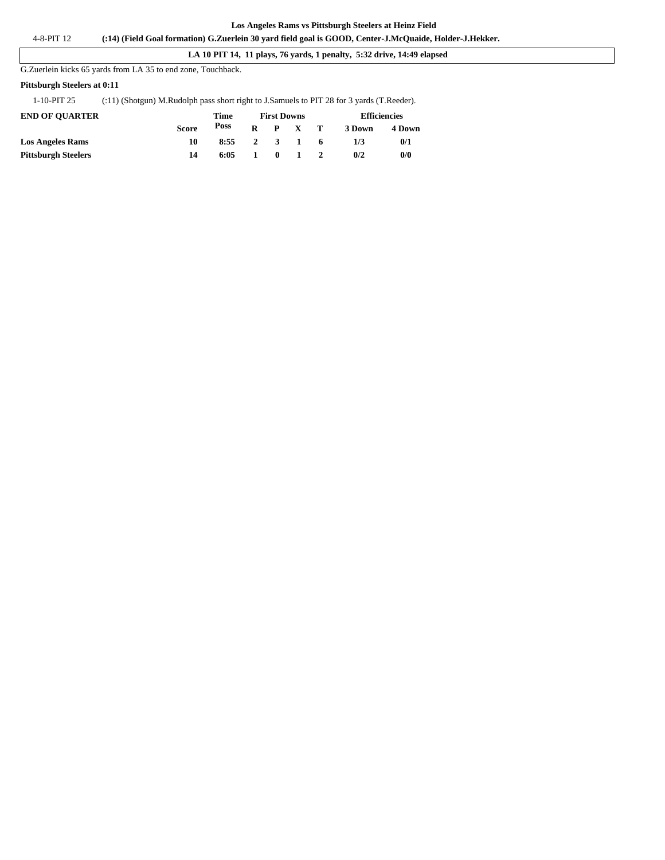#### **LA 10 PIT 14, 11 plays, 76 yards, 1 penalty, 5:32 drive, 14:49 elapsed**

G.Zuerlein kicks 65 yards from LA 35 to end zone, Touchback.

#### **Pittsburgh Steelers at 0:11**

#### 1-10-PIT 25 (:11) (Shotgun) M.Rudolph pass short right to J.Samuels to PIT 28 for 3 yards (T.Reeder).

| <b>END OF OUARTER</b>      |              | Time |    | <b>First Downs</b> |              |              | <b>Efficiencies</b> |        |  |
|----------------------------|--------------|------|----|--------------------|--------------|--------------|---------------------|--------|--|
|                            | <b>Score</b> | Poss | R. |                    | P X          | $\mathbf{T}$ | 3 Down              | 4 Down |  |
| <b>Los Angeles Rams</b>    | 10           | 8:55 |    |                    | 2 3 1        | - 6          | 173                 | 0/1    |  |
| <b>Pittsburgh Steelers</b> | 14           | 6:05 |    | $\mathbf{0}$       | $\mathbf{1}$ |              | 0/2                 | 0/0    |  |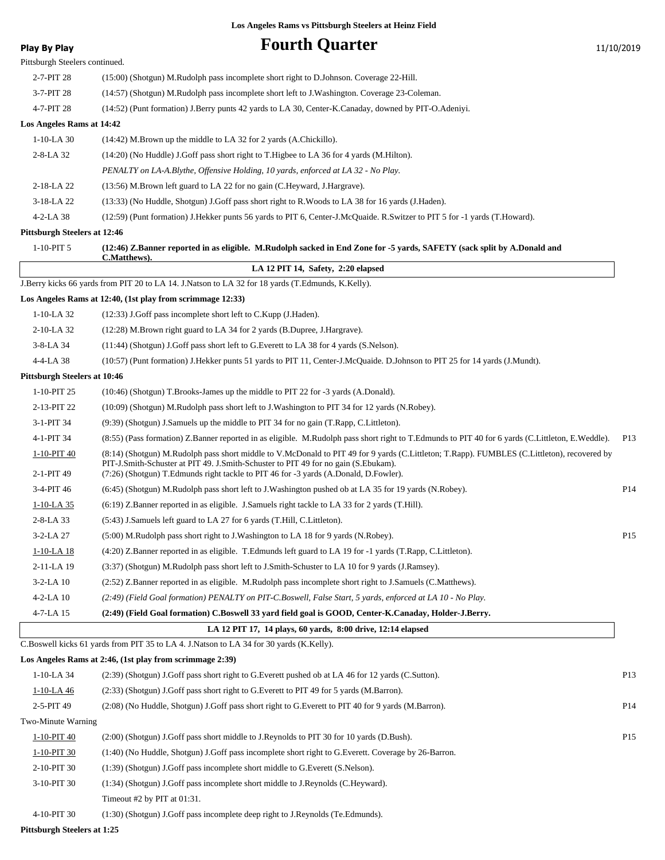| Play By Play                        | <b>Fourth Quarter</b>                                                                                                                                                                                                                                                                                                     | 11/10/2019      |
|-------------------------------------|---------------------------------------------------------------------------------------------------------------------------------------------------------------------------------------------------------------------------------------------------------------------------------------------------------------------------|-----------------|
| Pittsburgh Steelers continued.      |                                                                                                                                                                                                                                                                                                                           |                 |
| 2-7-PIT 28                          | (15:00) (Shotgun) M.Rudolph pass incomplete short right to D.Johnson. Coverage 22-Hill.                                                                                                                                                                                                                                   |                 |
| 3-7-PIT 28                          | (14:57) (Shotgun) M.Rudolph pass incomplete short left to J.Washington. Coverage 23-Coleman.                                                                                                                                                                                                                              |                 |
| 4-7-PIT 28                          | (14:52) (Punt formation) J.Berry punts 42 yards to LA 30, Center-K.Canaday, downed by PIT-O.Adeniyi.                                                                                                                                                                                                                      |                 |
| Los Angeles Rams at 14:42           |                                                                                                                                                                                                                                                                                                                           |                 |
| $1-10-LA$ 30                        | $(14:42)$ M. Brown up the middle to LA 32 for 2 yards $(A.Chickillo)$ .                                                                                                                                                                                                                                                   |                 |
| 2-8-LA 32                           | (14:20) (No Huddle) J.Goff pass short right to T.Higbee to LA 36 for 4 yards (M.Hilton).                                                                                                                                                                                                                                  |                 |
|                                     | PENALTY on LA-A.Blythe, Offensive Holding, 10 yards, enforced at LA 32 - No Play.                                                                                                                                                                                                                                         |                 |
| 2-18-LA 22                          | (13:56) M.Brown left guard to LA 22 for no gain (C.Heyward, J.Hargrave).                                                                                                                                                                                                                                                  |                 |
| 3-18-LA 22                          | (13:33) (No Huddle, Shotgun) J.Goff pass short right to R.Woods to LA 38 for 16 yards (J.Haden).                                                                                                                                                                                                                          |                 |
| 4-2-LA 38                           | (12:59) (Punt formation) J.Hekker punts 56 yards to PIT 6, Center-J.McQuaide. R.Switzer to PIT 5 for -1 yards (T.Howard).                                                                                                                                                                                                 |                 |
| <b>Pittsburgh Steelers at 12:46</b> |                                                                                                                                                                                                                                                                                                                           |                 |
| $1-10-PIT5$                         | (12:46) Z.Banner reported in as eligible. M.Rudolph sacked in End Zone for -5 yards, SAFETY (sack split by A.Donald and<br><b>C.Matthews).</b>                                                                                                                                                                            |                 |
|                                     | LA 12 PIT 14, Safety, 2:20 elapsed                                                                                                                                                                                                                                                                                        |                 |
|                                     | J.Berry kicks 66 yards from PIT 20 to LA 14. J.Natson to LA 32 for 18 yards (T.Edmunds, K.Kelly).                                                                                                                                                                                                                         |                 |
|                                     | Los Angeles Rams at 12:40, (1st play from scrimmage 12:33)                                                                                                                                                                                                                                                                |                 |
| $1-10-LA$ 32                        | (12:33) J.Goff pass incomplete short left to C.Kupp (J.Haden).                                                                                                                                                                                                                                                            |                 |
| 2-10-LA 32                          | (12:28) M.Brown right guard to LA 34 for 2 yards (B.Dupree, J.Hargrave).                                                                                                                                                                                                                                                  |                 |
| 3-8-LA 34                           | $(11:44)$ (Shotgun) J.Goff pass short left to G.Everett to LA 38 for 4 yards (S.Nelson).                                                                                                                                                                                                                                  |                 |
| 4-4-LA 38                           | (10:57) (Punt formation) J.Hekker punts 51 yards to PIT 11, Center-J.McQuaide. D.Johnson to PIT 25 for 14 yards (J.Mundt).                                                                                                                                                                                                |                 |
| <b>Pittsburgh Steelers at 10:46</b> |                                                                                                                                                                                                                                                                                                                           |                 |
| 1-10-PIT 25                         | (10:46) (Shotgun) T.Brooks-James up the middle to PIT 22 for -3 yards (A.Donald).                                                                                                                                                                                                                                         |                 |
| 2-13-PIT 22                         | (10:09) (Shotgun) M.Rudolph pass short left to J.Washington to PIT 34 for 12 yards (N.Robey).                                                                                                                                                                                                                             |                 |
| 3-1-PIT 34                          | (9.39) (Shotgun) J.Samuels up the middle to PIT 34 for no gain (T.Rapp, C.Littleton).                                                                                                                                                                                                                                     |                 |
| 4-1-PIT 34                          | (8:55) (Pass formation) Z.Banner reported in as eligible. M.Rudolph pass short right to T.Edmunds to PIT 40 for 6 yards (C.Littleton, E.Weddle).                                                                                                                                                                          | P <sub>13</sub> |
| 1-10-PIT 40<br>2-1-PIT 49           | (8:14) (Shotgun) M.Rudolph pass short middle to V.McDonald to PIT 49 for 9 yards (C.Littleton; T.Rapp). FUMBLES (C.Littleton), recovered by<br>PIT-J.Smith-Schuster at PIT 49. J.Smith-Schuster to PIT 49 for no gain (S.Ebukam).<br>(7:26) (Shotgun) T.Edmunds right tackle to PIT 46 for -3 yards (A.Donald, D.Fowler). |                 |
| 3-4-PIT 46                          | (6:45) (Shotgun) M.Rudolph pass short left to J.Washington pushed ob at LA 35 for 19 yards (N.Robey).                                                                                                                                                                                                                     | P <sub>14</sub> |
| $1-10-LA$ 35                        | (6:19) Z.Banner reported in as eligible. J.Samuels right tackle to LA 33 for 2 yards (T.Hill).                                                                                                                                                                                                                            |                 |
| 2-8-LA 33                           | (5:43) J.Samuels left guard to LA 27 for 6 yards (T.Hill, C.Littleton).                                                                                                                                                                                                                                                   |                 |
| 3-2-LA 27                           | (5:00) M.Rudolph pass short right to J.Washington to LA 18 for 9 yards (N.Robey).                                                                                                                                                                                                                                         | P <sub>15</sub> |
| $1-10-LA$ 18                        | (4:20) Z.Banner reported in as eligible. T.Edmunds left guard to LA 19 for -1 yards (T.Rapp, C.Littleton).                                                                                                                                                                                                                |                 |
| 2-11-LA 19                          | (3:37) (Shotgun) M.Rudolph pass short left to J.Smith-Schuster to LA 10 for 9 yards (J.Ramsey).                                                                                                                                                                                                                           |                 |
| $3 - 2 - LA$ 10                     | (2.52) Z.Banner reported in as eligible. M.Rudolph pass incomplete short right to J.Samuels (C.Matthews).                                                                                                                                                                                                                 |                 |
| 4-2-LA 10                           | (2:49) (Field Goal formation) PENALTY on PIT-C.Boswell, False Start, 5 yards, enforced at LA 10 - No Play.                                                                                                                                                                                                                |                 |
| 4-7-LA 15                           | (2:49) (Field Goal formation) C.Boswell 33 yard field goal is GOOD, Center-K.Canaday, Holder-J.Berry.                                                                                                                                                                                                                     |                 |
|                                     | LA 12 PIT 17, 14 plays, 60 yards, 8:00 drive, 12:14 elapsed                                                                                                                                                                                                                                                               |                 |
|                                     | C.Boswell kicks 61 yards from PIT 35 to LA 4. J.Natson to LA 34 for 30 yards (K.Kelly).                                                                                                                                                                                                                                   |                 |
|                                     | Los Angeles Rams at 2:46, (1st play from scrimmage 2:39)                                                                                                                                                                                                                                                                  |                 |
| 1-10-LA 34                          | (2:39) (Shotgun) J.Goff pass short right to G.Everett pushed ob at LA 46 for 12 yards (C.Sutton).                                                                                                                                                                                                                         | P <sub>13</sub> |
| $1-10-LA$ 46                        | (2:33) (Shotgun) J.Goff pass short right to G.Everett to PIT 49 for 5 yards (M.Barron).                                                                                                                                                                                                                                   |                 |
| 2-5-PIT 49                          | (2:08) (No Huddle, Shotgun) J.Goff pass short right to G.Everett to PIT 40 for 9 yards (M.Barron).                                                                                                                                                                                                                        | P <sub>14</sub> |
| Two-Minute Warning                  |                                                                                                                                                                                                                                                                                                                           |                 |
| 1-10-PIT 40                         | (2:00) (Shotgun) J.Goff pass short middle to J.Reynolds to PIT 30 for 10 yards (D.Bush).                                                                                                                                                                                                                                  | P <sub>15</sub> |
| 1-10-PIT 30                         | (1:40) (No Huddle, Shotgun) J.Goff pass incomplete short right to G.Everett. Coverage by 26-Barron.                                                                                                                                                                                                                       |                 |
| 2-10-PIT 30                         | (1:39) (Shotgun) J.Goff pass incomplete short middle to G.Everett (S.Nelson).                                                                                                                                                                                                                                             |                 |
| 3-10-PIT 30                         | (1:34) (Shotgun) J.Goff pass incomplete short middle to J.Reynolds (C.Heyward).                                                                                                                                                                                                                                           |                 |
|                                     | Timeout #2 by PIT at 01:31.                                                                                                                                                                                                                                                                                               |                 |

4-10-PIT 30 (1:30) (Shotgun) J.Goff pass incomplete deep right to J.Reynolds (Te.Edmunds).

**Pittsburgh Steelers at 1:25**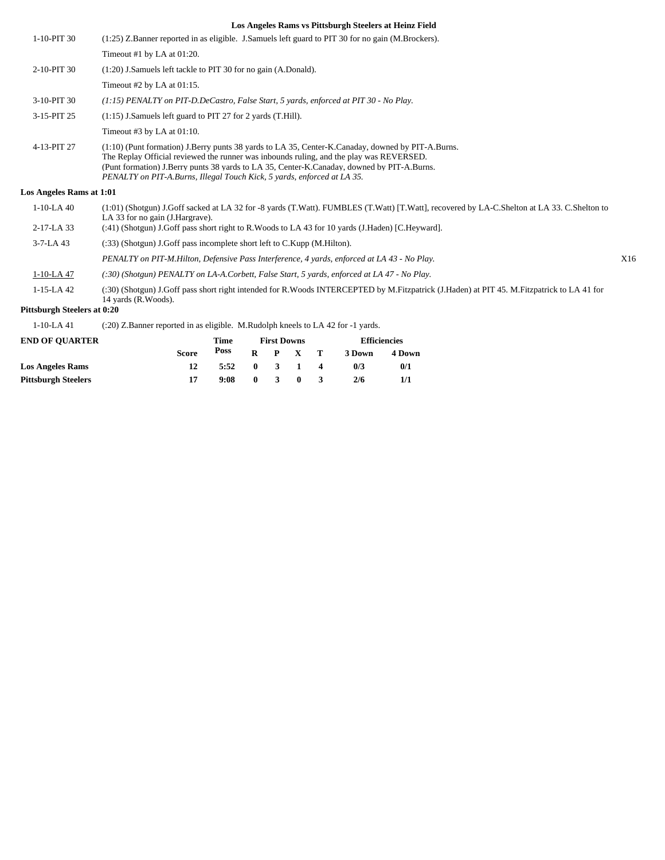| 1-10-PIT 30                 | (1:25) Z.Banner reported in as eligible. J.Samuels left guard to PIT 30 for no gain (M.Brockers).                                                                                                                                                                                                                                                                       |     |
|-----------------------------|-------------------------------------------------------------------------------------------------------------------------------------------------------------------------------------------------------------------------------------------------------------------------------------------------------------------------------------------------------------------------|-----|
|                             | Timeout #1 by LA at 01:20.                                                                                                                                                                                                                                                                                                                                              |     |
| 2-10-PIT 30                 | (1:20) J.Samuels left tackle to PIT 30 for no gain (A.Donald).                                                                                                                                                                                                                                                                                                          |     |
|                             | Timeout #2 by LA at $01:15$ .                                                                                                                                                                                                                                                                                                                                           |     |
| 3-10-PIT 30                 | $(1.15)$ PENALTY on PIT-D.DeCastro, False Start, 5 yards, enforced at PIT 30 - No Play.                                                                                                                                                                                                                                                                                 |     |
| 3-15-PIT 25                 | $(1:15)$ J.Samuels left guard to PIT 27 for 2 yards (T.Hill).                                                                                                                                                                                                                                                                                                           |     |
|                             | Timeout #3 by LA at $01:10$ .                                                                                                                                                                                                                                                                                                                                           |     |
| 4-13-PIT 27                 | $(1:10)$ (Punt formation) J.Berry punts 38 yards to LA 35, Center-K.Canaday, downed by PIT-A.Burns.<br>The Replay Official reviewed the runner was inbounds ruling, and the play was REVERSED.<br>(Punt formation) J.Berry punts 38 yards to LA 35, Center-K.Canaday, downed by PIT-A.Burns.<br>PENALTY on PIT-A.Burns, Illegal Touch Kick, 5 yards, enforced at LA 35. |     |
| Los Angeles Rams at 1:01    |                                                                                                                                                                                                                                                                                                                                                                         |     |
| $1-10-LA$ 40                | (1:01) (Shotgun) J.Goff sacked at LA 32 for -8 yards (T.Watt). FUMBLES (T.Watt) [T.Watt], recovered by LA-C.Shelton at LA 33. C.Shelton to<br>LA 33 for no gain (J. Hargrave).                                                                                                                                                                                          |     |
| $2-17-LA$ 33                | (:41) (Shotgun) J.Goff pass short right to R.Woods to LA 43 for 10 yards (J.Haden) [C.Heyward].                                                                                                                                                                                                                                                                         |     |
| $3 - 7 - LA$ 43             | (:33) (Shotgun) J.Goff pass incomplete short left to C.Kupp (M.Hilton).                                                                                                                                                                                                                                                                                                 |     |
|                             | PENALTY on PIT-M.Hilton, Defensive Pass Interference, 4 yards, enforced at LA 43 - No Play.                                                                                                                                                                                                                                                                             | X16 |
| $1-10-LA$ 47                | (:30) (Shotgun) PENALTY on LA-A.Corbett, False Start, 5 yards, enforced at LA 47 - No Play.                                                                                                                                                                                                                                                                             |     |
| $1-15-LA$ 42                | (:30) (Shotgun) J.Goff pass short right intended for R.Woods INTERCEPTED by M.Fitzpatrick (J.Haden) at PIT 45. M.Fitzpatrick to LA 41 for<br>14 vards (R.Woods).                                                                                                                                                                                                        |     |
| Pittsburgh Steelers at 0:20 |                                                                                                                                                                                                                                                                                                                                                                         |     |
|                             |                                                                                                                                                                                                                                                                                                                                                                         |     |

1-10-LA 41 (:20) Z.Banner reported in as eligible. M.Rudolph kneels to LA 42 for -1 yards.

| <b>END OF OUARTER</b>      |              | Time |              | <b>First Downs</b> |                 | <b>Efficiencies</b> |        |  |
|----------------------------|--------------|------|--------------|--------------------|-----------------|---------------------|--------|--|
|                            | <b>Score</b> | Poss |              |                    | $R$ $P$ $X$ $T$ | 3 Down              | 4 Down |  |
| <b>Los Angeles Rams</b>    |              | 5:52 | $\mathbf{0}$ | $\mathbf{3}$       | $\sim$ 1        | 0/3                 | 0/1    |  |
| <b>Pittsburgh Steelers</b> |              | 9:08 | $\mathbf{0}$ | $\mathbf{R}$       | $\mathbf{0}$    | 2/6                 |        |  |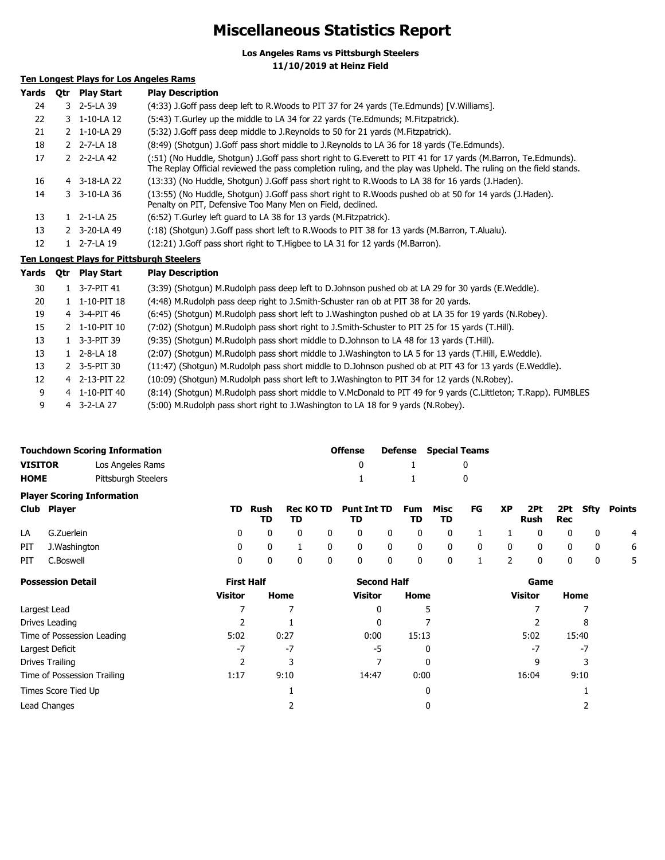## **Miscellaneous Statistics Report**

**Los Angeles Rams vs Pittsburgh Steelers 11/10/2019 at Heinz Field**

### **Ten Longest Plays for Los Angeles Rams**

| Yards | Otr | <b>Play Start</b>       | <b>Play Description</b>                                                                                                                                                                                                             |
|-------|-----|-------------------------|-------------------------------------------------------------------------------------------------------------------------------------------------------------------------------------------------------------------------------------|
| 24    |     | 3 2-5-LA 39             | (4:33) J.Goff pass deep left to R.Woods to PIT 37 for 24 yards (Te.Edmunds) [V.Williams].                                                                                                                                           |
| 22    |     | 3 1-10-LA 12            | (5:43) T. Gurley up the middle to LA 34 for 22 yards (Te. Edmunds; M. Fitzpatrick).                                                                                                                                                 |
| 21    |     | 2 1-10-LA 29            | (5:32) J.Goff pass deep middle to J.Reynolds to 50 for 21 yards (M.Fitzpatrick).                                                                                                                                                    |
| 18    |     | 2 2-7-LA 18             | (8:49) (Shotgun) J.Goff pass short middle to J.Reynolds to LA 36 for 18 yards (Te.Edmunds).                                                                                                                                         |
| 17    |     | $2 \quad 2 - 2 - LA 42$ | (:51) (No Huddle, Shotgun) J.Goff pass short right to G.Everett to PIT 41 for 17 yards (M.Barron, Te.Edmunds).<br>The Replay Official reviewed the pass completion ruling, and the play was Upheld. The ruling on the field stands. |
| 16    |     | $4 \quad 3-18-LA$ 22    | (13:33) (No Huddle, Shotgun) J.Goff pass short right to R.Woods to LA 38 for 16 yards (J.Haden).                                                                                                                                    |
| 14    |     | 3 3-10-LA 36            | (13:55) (No Huddle, Shotgun) J.Goff pass short right to R.Woods pushed ob at 50 for 14 yards (J.Haden).<br>Penalty on PIT, Defensive Too Many Men on Field, declined.                                                               |
| 13    |     | $12 - 1 - LA$ 25        | (6:52) T. Gurley left quard to LA 38 for 13 yards (M. Fitzpatrick).                                                                                                                                                                 |
| 13    |     | 2 3-20-LA 49            | (:18) (Shotgun) J.Goff pass short left to R.Woods to PIT 38 for 13 yards (M.Barron, T.Alualu).                                                                                                                                      |
| 12    |     | 1 2-7-LA 19             | (12:21) J. Goff pass short right to T. Higbee to LA 31 for 12 yards (M. Barron).                                                                                                                                                    |

#### **Ten Longest Plays for Pittsburgh Steelers**

| Yards | <b>Otr</b> | Play Start               | <b>Play Description</b>                                                                                         |
|-------|------------|--------------------------|-----------------------------------------------------------------------------------------------------------------|
| 30    |            | $1 \quad 3 - 7 - PIT 41$ | (3:39) (Shotgun) M.Rudolph pass deep left to D.Johnson pushed ob at LA 29 for 30 yards (E.Weddle).              |
| 20    |            | 1 1-10-PIT 18            | (4:48) M.Rudolph pass deep right to J.Smith-Schuster ran ob at PIT 38 for 20 yards.                             |
| 19    |            | 4 3-4-PIT 46             | (6:45) (Shotgun) M.Rudolph pass short left to J.Washington pushed ob at LA 35 for 19 yards (N.Robey).           |
| 15    |            | $2 \quad 1 - 10 - PIT10$ | (7:02) (Shotgun) M.Rudolph pass short right to J.Smith-Schuster to PIT 25 for 15 yards (T.Hill).                |
| 13    |            | $1 \quad 3 - 3 - PIT39$  | (9:35) (Shotgun) M.Rudolph pass short middle to D.Johnson to LA 48 for 13 yards (T.Hill).                       |
| 13    |            | $1 \quad 2 - 8 - LA$ 18  | (2:07) (Shotgun) M.Rudolph pass short middle to J.Washington to LA 5 for 13 yards (T.Hill, E.Weddle).           |
| 13    |            | 2 3-5-PIT 30             | (11:47) (Shotgun) M.Rudolph pass short middle to D.Johnson pushed ob at PIT 43 for 13 yards (E.Weddle).         |
| 12    |            | 4 2-13-PIT 22            | (10:09) (Shotgun) M.Rudolph pass short left to J.Washington to PIT 34 for 12 yards (N.Robey).                   |
| 9     |            | 4 1-10-PIT 40            | (8:14) (Shotgun) M.Rudolph pass short middle to V.McDonald to PIT 49 for 9 yards (C.Littleton; T.Rapp). FUMBLES |
| 9     |            | $4$ 3-2-LA 27            | (5:00) M.Rudolph pass short right to J.Washington to LA 18 for 9 yards (N.Robey).                               |

|                                   | <b>Touchdown Scoring Information</b> | <b>Offense</b> |                                        | <b>Defense</b> Special Teams |  |  |  |
|-----------------------------------|--------------------------------------|----------------|----------------------------------------|------------------------------|--|--|--|
| <b>VISITOR</b>                    | Los Angeles Rams                     |                | $\begin{array}{ccc} 0 & 1 \end{array}$ |                              |  |  |  |
| <b>HOME</b>                       | Pittsburgh Steelers                  |                | $1 \quad 1$                            |                              |  |  |  |
| <b>Player Scoring Information</b> |                                      |                |                                        |                              |  |  |  |

| Club Player      | TD. |  | TD Rush Rec KOTD Punt Int TD Fum Misc FG XP 2Pt 2Pt Sfty Points | TD. | - TD |  | Rush Rec |  |             |
|------------------|-----|--|-----------------------------------------------------------------|-----|------|--|----------|--|-------------|
| LA G.Zuerlein    |     |  | 0 0 0 0 0 0 0 0 0 1 1 0 0 0 0 4                                 |     |      |  |          |  |             |
| PIT J.Washington |     |  | 0 0 1 0 0 0 0 0 0 0 0 0 0 0                                     |     |      |  |          |  | $6^{\circ}$ |
| PIT C.Boswell    |     |  | 0 0 0 0 0 0 0 1 2 0 0 0                                         |     |      |  |          |  | - 5         |

| <b>Possession Detail</b>    | <b>First Half</b> |      | <b>Second Half</b> |       | Game           |       |  |
|-----------------------------|-------------------|------|--------------------|-------|----------------|-------|--|
|                             | <b>Visitor</b>    | Home | Visitor            | Home  | <b>Visitor</b> | Home  |  |
| Largest Lead                |                   |      | 0                  |       |                |       |  |
| Drives Leading              |                   |      | 0                  |       |                | 8     |  |
| Time of Possession Leading  | 5:02              | 0:27 | 0:00               | 15:13 | 5:02           | 15:40 |  |
| Largest Deficit             | $-7$              | $-7$ | -5                 | 0     | -7             | -7    |  |
| Drives Trailing             |                   |      |                    | 0     | q              | 3     |  |
| Time of Possession Trailing | 1:17              | 9:10 | 14:47              | 0:00  | 16:04          | 9:10  |  |
| Times Score Tied Up         |                   |      |                    | 0     |                |       |  |
| Lead Changes                |                   |      |                    |       |                |       |  |